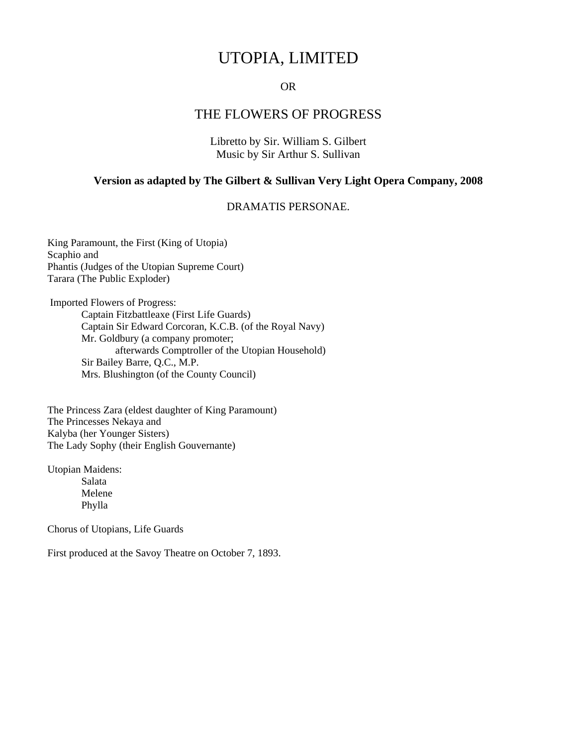# UTOPIA, LIMITED

# OR

# THE FLOWERS OF PROGRESS

Libretto by Sir. William S. Gilbert Music by Sir Arthur S. Sullivan

### **Version as adapted by The Gilbert & Sullivan Very Light Opera Company, 2008**

## DRAMATIS PERSONAE.

King Paramount, the First (King of Utopia) Scaphio and Phantis (Judges of the Utopian Supreme Court) Tarara (The Public Exploder)

 Imported Flowers of Progress: Captain Fitzbattleaxe (First Life Guards) Captain Sir Edward Corcoran, K.C.B. (of the Royal Navy) Mr. Goldbury (a company promoter; afterwards Comptroller of the Utopian Household) Sir Bailey Barre, Q.C., M.P. Mrs. Blushington (of the County Council)

The Princess Zara (eldest daughter of King Paramount) The Princesses Nekaya and Kalyba (her Younger Sisters) The Lady Sophy (their English Gouvernante)

Utopian Maidens: Salata Melene Phylla

Chorus of Utopians, Life Guards

First produced at the Savoy Theatre on October 7, 1893.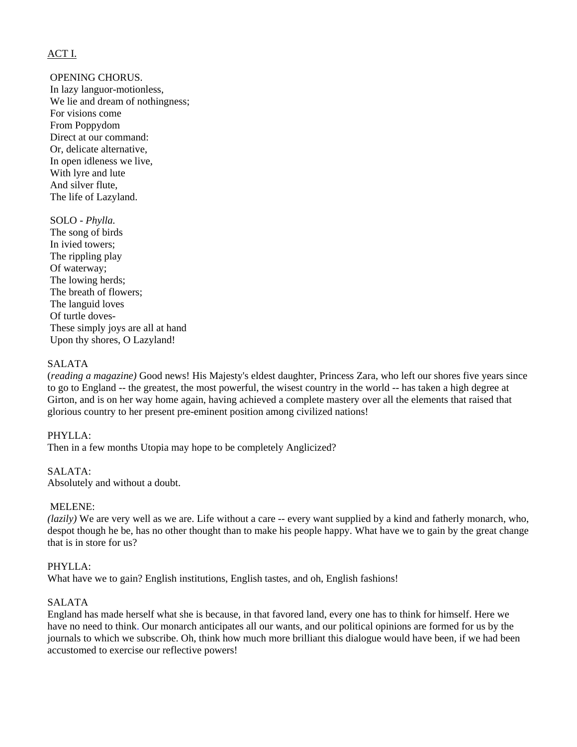# [ACT I.](http://www.karadar.com/Librettos/sullivan_UTOPIA.html)

OPENING CHORUS.

 In lazy languor-motionless, We lie and dream of nothingness; For visions come From Poppydom Direct at our command: Or, delicate alternative, In open idleness we live, With lyre and lute And silver flute, The life of Lazyland.

### SOLO - *Phylla.*

 The song of birds In ivied towers; The rippling play Of waterway; The lowing herds; The breath of flowers; The languid loves Of turtle doves- These simply joys are all at hand Upon thy shores, O Lazyland!

### SALATA

(*reading a magazine)* Good news! His Majesty's eldest daughter, Princess Zara, who left our shores five years since to go to England -- the greatest, the most powerful, the wisest country in the world -- has taken a high degree at Girton, and is on her way home again, having achieved a complete mastery over all the elements that raised that glorious country to her present pre-eminent position among civilized nations!

### PHYLLA:

Then in a few months Utopia may hope to be completely Anglicized?

### SALATA:

Absolutely and without a doubt.

### MELENE:

*(lazily)* We are very well as we are. Life without a care -- every want supplied by a kind and fatherly monarch, who, despot though he be, has no other thought than to make his people happy. What have we to gain by the great change that is in store for us?

### PHYLLA:

What have we to gain? English institutions, English tastes, and oh, English fashions!

# SALATA

England has made herself what she is because, in that favored land, every one has to think for himself. Here we have no need to think. Our monarch anticipates all our wants, and our political opinions are formed for us by the journals to which we subscribe. Oh, think how much more brilliant this dialogue would have been, if we had been accustomed to exercise our reflective powers!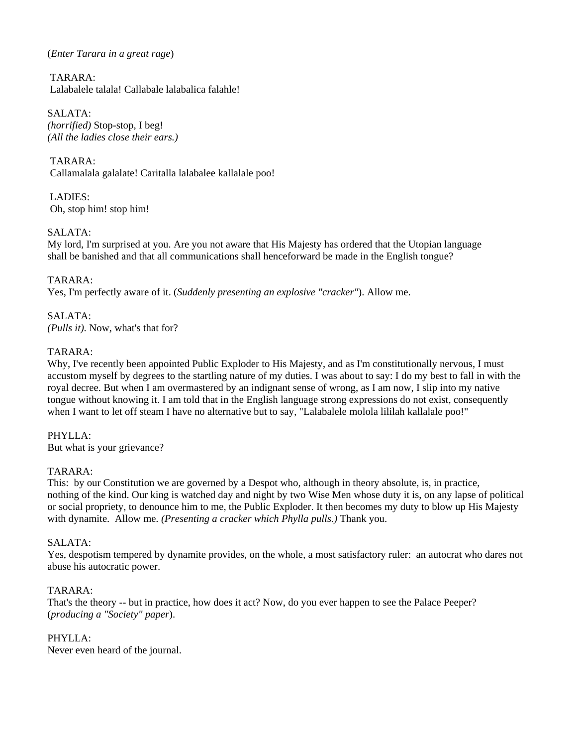## (*Enter Tarara in a great rage*)

 TARARA: Lalabalele talala! Callabale lalabalica falahle!

SALATA: *(horrified)* Stop-stop, I beg! *(All the ladies close their ears.)* 

 TARARA: Callamalala galalate! Caritalla lalabalee kallalale poo!

 LADIES: Oh, stop him! stop him!

# SALATA:

My lord, I'm surprised at you. Are you not aware that His Majesty has ordered that the Utopian language shall be banished and that all communications shall henceforward be made in the English tongue?

# TARARA:

Yes, I'm perfectly aware of it. (*Suddenly presenting an explosive "cracker"*). Allow me.

SALATA: *(Pulls it).* Now, what's that for?

# TARARA:

Why, I've recently been appointed Public Exploder to His Majesty, and as I'm constitutionally nervous, I must accustom myself by degrees to the startling nature of my duties. I was about to say: I do my best to fall in with the royal decree. But when I am overmastered by an indignant sense of wrong, as I am now, I slip into my native tongue without knowing it. I am told that in the English language strong expressions do not exist, consequently when I want to let off steam I have no alternative but to say, "Lalabalele molola lililah kallalale poo!"

PHYLLA: But what is your grievance?

## TARARA:

This: by our Constitution we are governed by a Despot who, although in theory absolute, is, in practice, nothing of the kind. Our king is watched day and night by two Wise Men whose duty it is, on any lapse of political or social propriety, to denounce him to me, the Public Exploder. It then becomes my duty to blow up His Majesty with dynamite. Allow me. *(Presenting a cracker which Phylla pulls.)* Thank you.

## SALATA:

Yes, despotism tempered by dynamite provides, on the whole, a most satisfactory ruler: an autocrat who dares not abuse his autocratic power.

## TARARA:

That's the theory -- but in practice, how does it act? Now, do you ever happen to see the Palace Peeper? (*producing a "Society" paper*).

# PHYLLA:

Never even heard of the journal.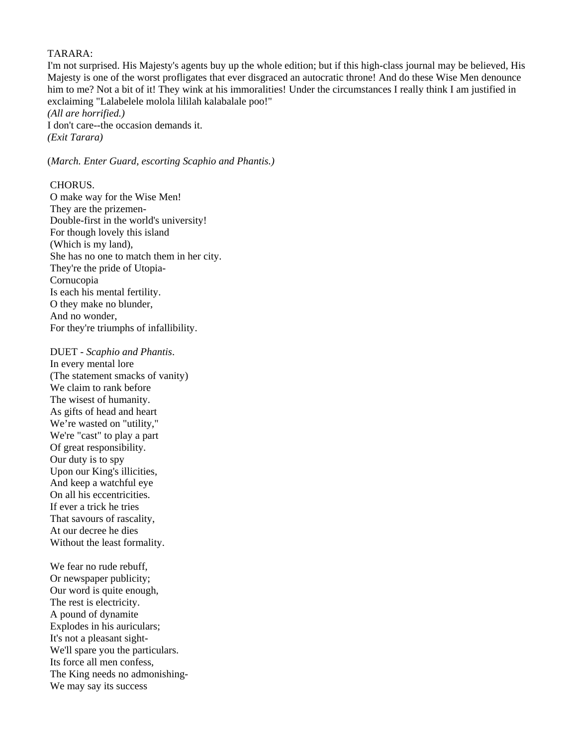### TARARA:

I'm not surprised. His Majesty's agents buy up the whole edition; but if this high-class journal may be believed, His Majesty is one of the worst profligates that ever disgraced an autocratic throne! And do these Wise Men denounce him to me? Not a bit of it! They wink at his immoralities! Under the circumstances I really think I am justified in exclaiming "Lalabelele molola lililah kalabalale poo!" *(All are horrified.)* 

I don't care--the occasion demands it. *(Exit Tarara)* 

(*March. Enter Guard, escorting Scaphio and Phantis.)*

## CHORUS.

 O make way for the Wise Men! They are the prizemen- Double-first in the world's university! For though lovely this island (Which is my land), She has no one to match them in her city. They're the pride of Utopia- Cornucopia Is each his mental fertility. O they make no blunder, And no wonder, For they're triumphs of infallibility.

 DUET - *Scaphio and Phantis*. In every mental lore (The statement smacks of vanity) We claim to rank before The wisest of humanity. As gifts of head and heart We're wasted on "utility," We're "cast" to play a part Of great responsibility. Our duty is to spy Upon our King's illicities, And keep a watchful eye On all his eccentricities. If ever a trick he tries That savours of rascality, At our decree he dies Without the least formality.

We fear no rude rebuff. Or newspaper publicity; Our word is quite enough, The rest is electricity. A pound of dynamite Explodes in his auriculars; It's not a pleasant sight- We'll spare you the particulars. Its force all men confess, The King needs no admonishing- We may say its success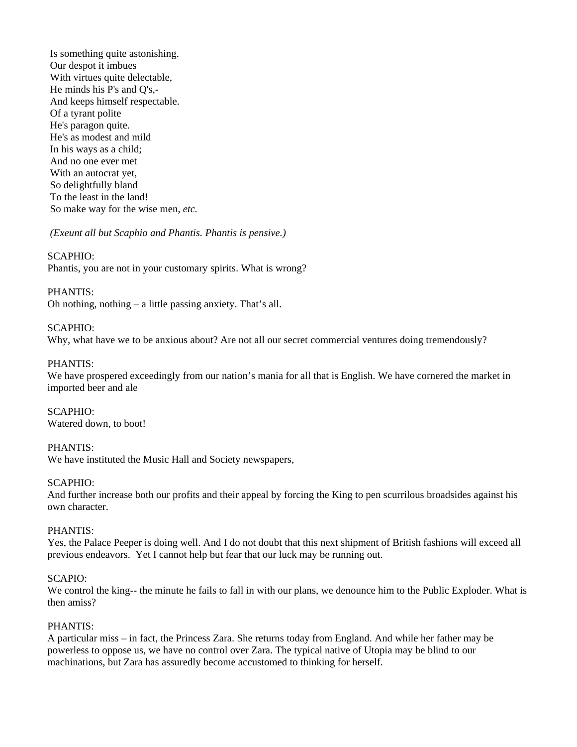Is something quite astonishing. Our despot it imbues With virtues quite delectable, He minds his P's and Q's,- And keeps himself respectable. Of a tyrant polite He's paragon quite. He's as modest and mild In his ways as a child; And no one ever met With an autocrat yet, So delightfully bland To the least in the land! So make way for the wise men, *etc.* 

*(Exeunt all but Scaphio and Phantis. Phantis is pensive.)* 

### SCAPHIO:

Phantis, you are not in your customary spirits. What is wrong?

### PHANTIS:

Oh nothing, nothing – a little passing anxiety. That's all.

### SCAPHIO:

Why, what have we to be anxious about? Are not all our secret commercial ventures doing tremendously?

### PHANTIS:

We have prospered exceedingly from our nation's mania for all that is English. We have cornered the market in imported beer and ale

SCAPHIO: Watered down, to boot!

### PHANTIS: We have instituted the Music Hall and Society newspapers,

### SCAPHIO:

And further increase both our profits and their appeal by forcing the King to pen scurrilous broadsides against his own character.

## PHANTIS:

Yes, the Palace Peeper is doing well. And I do not doubt that this next shipment of British fashions will exceed all previous endeavors. Yet I cannot help but fear that our luck may be running out.

### SCAPIO:

We control the king-- the minute he fails to fall in with our plans, we denounce him to the Public Exploder. What is then amiss?

## PHANTIS:

A particular miss – in fact, the Princess Zara. She returns today from England. And while her father may be powerless to oppose us, we have no control over Zara. The typical native of Utopia may be blind to our machinations, but Zara has assuredly become accustomed to thinking for herself.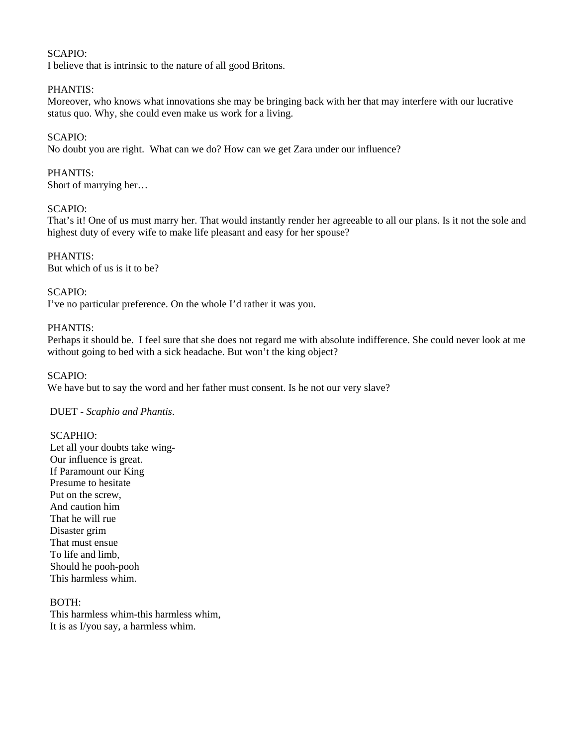# SCAPIO:

I believe that is intrinsic to the nature of all good Britons.

### PHANTIS:

Moreover, who knows what innovations she may be bringing back with her that may interfere with our lucrative status quo. Why, she could even make us work for a living.

### SCAPIO:

No doubt you are right. What can we do? How can we get Zara under our influence?

### PHANTIS:

Short of marrying her…

## SCAPIO:

That's it! One of us must marry her. That would instantly render her agreeable to all our plans. Is it not the sole and highest duty of every wife to make life pleasant and easy for her spouse?

PHANTIS: But which of us is it to be?

### SCAPIO:

I've no particular preference. On the whole I'd rather it was you.

### PHANTIS:

Perhaps it should be. I feel sure that she does not regard me with absolute indifference. She could never look at me without going to bed with a sick headache. But won't the king object?

### SCAPIO:

We have but to say the word and her father must consent. Is he not our very slave?

### DUET - *Scaphio and Phantis*.

### SCAPHIO:

 Let all your doubts take wing- Our influence is great. If Paramount our King Presume to hesitate Put on the screw, And caution him That he will rue Disaster grim That must ensue To life and limb, Should he pooh-pooh This harmless whim.

# BOTH:

 This harmless whim-this harmless whim, It is as I/you say, a harmless whim.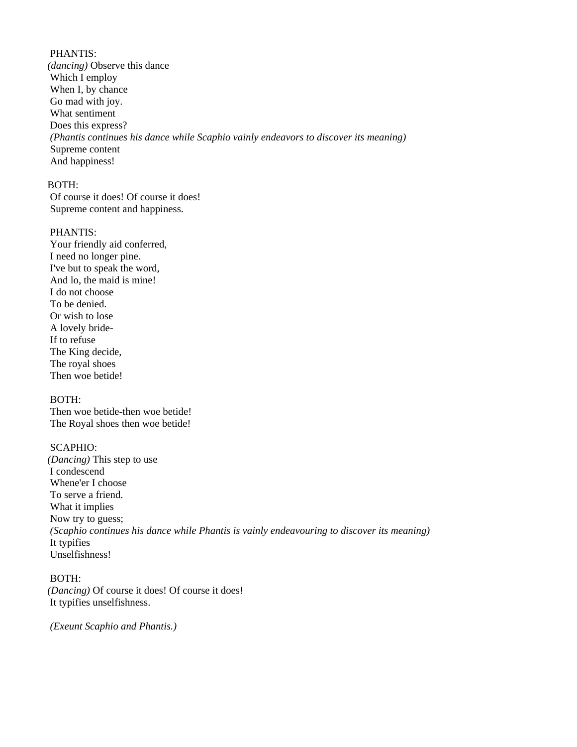### PHANTIS:

*(dancing)* Observe this dance Which I employ When I, by chance Go mad with joy. What sentiment Does this express? *(Phantis continues his dance while Scaphio vainly endeavors to discover its meaning)*  Supreme content And happiness!

### BOTH:

 Of course it does! Of course it does! Supreme content and happiness.

### PHANTIS:

 Your friendly aid conferred, I need no longer pine. I've but to speak the word, And lo, the maid is mine! I do not choose To be denied. Or wish to lose A lovely bride- If to refuse The King decide, The royal shoes Then woe betide!

# BOTH:

 Then woe betide-then woe betide! The Royal shoes then woe betide!

## SCAPHIO:

*(Dancing)* This step to use I condescend Whene'er I choose To serve a friend. What it implies Now try to guess; *(Scaphio continues his dance while Phantis is vainly endeavouring to discover its meaning)*  It typifies Unselfishness!

# BOTH:

*(Dancing)* Of course it does! Of course it does! It typifies unselfishness.

 *(Exeunt Scaphio and Phantis.)*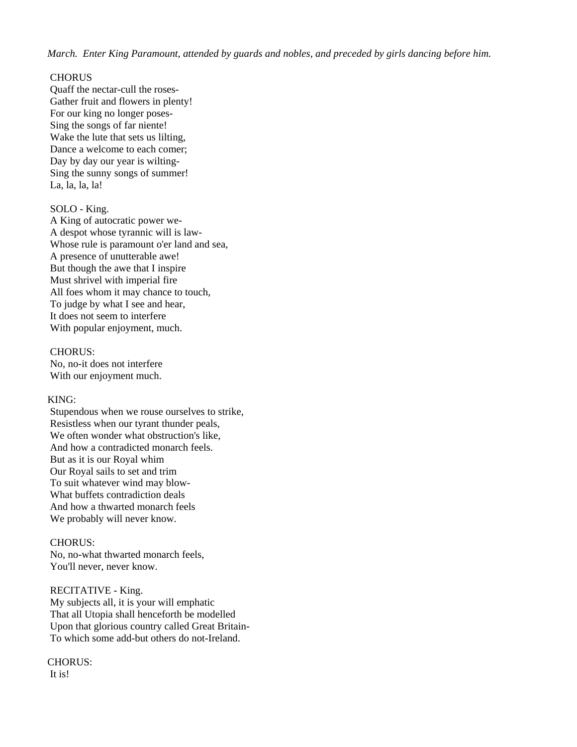*March. Enter King Paramount, attended by guards and nobles, and preceded by girls dancing before him.* 

### **CHORUS**

 Quaff the nectar-cull the roses- Gather fruit and flowers in plenty! For our king no longer poses- Sing the songs of far niente! Wake the lute that sets us lilting, Dance a welcome to each comer; Day by day our year is wilting- Sing the sunny songs of summer! La, la, la, la!

### SOLO - King.

 A King of autocratic power we- A despot whose tyrannic will is law- Whose rule is paramount o'er land and sea, A presence of unutterable awe! But though the awe that I inspire Must shrivel with imperial fire All foes whom it may chance to touch, To judge by what I see and hear, It does not seem to interfere With popular enjoyment, much.

### CHORUS:

 No, no-it does not interfere With our enjoyment much.

## KING:

 Stupendous when we rouse ourselves to strike, Resistless when our tyrant thunder peals, We often wonder what obstruction's like, And how a contradicted monarch feels. But as it is our Royal whim Our Royal sails to set and trim To suit whatever wind may blow- What buffets contradiction deals And how a thwarted monarch feels We probably will never know.

## CHORUS:

 No, no-what thwarted monarch feels, You'll never, never know.

## RECITATIVE - King.

 My subjects all, it is your will emphatic That all Utopia shall henceforth be modelled Upon that glorious country called Great Britain- To which some add-but others do not-Ireland.

### CHORUS: It is!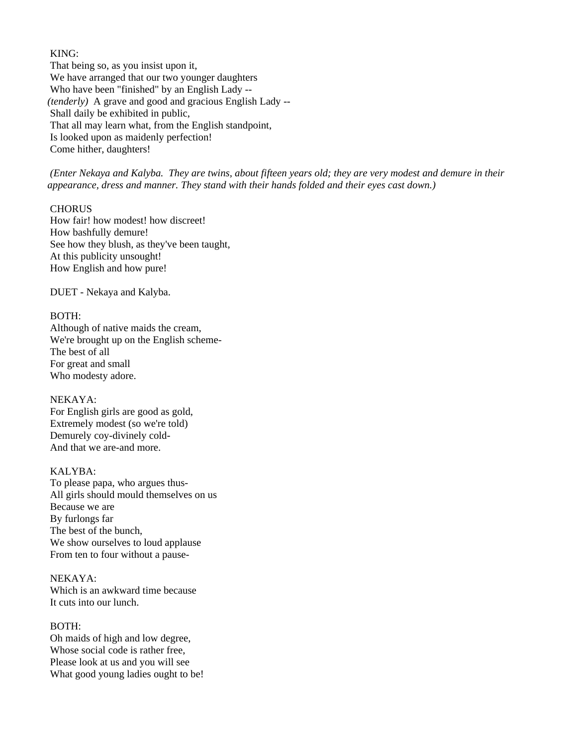### KING:

 That being so, as you insist upon it, We have arranged that our two younger daughters Who have been "finished" by an English Lady -- *(tenderly)* A grave and good and gracious English Lady -- Shall daily be exhibited in public, That all may learn what, from the English standpoint, Is looked upon as maidenly perfection! Come hither, daughters!

 *(Enter Nekaya and Kalyba. They are twins, about fifteen years old; they are very modest and demure in their appearance, dress and manner. They stand with their hands folded and their eyes cast down.)* 

### **CHORUS**

 How fair! how modest! how discreet! How bashfully demure! See how they blush, as they've been taught, At this publicity unsought! How English and how pure!

DUET - Nekaya and Kalyba.

### BOTH:

 Although of native maids the cream, We're brought up on the English scheme- The best of all For great and small Who modesty adore.

# NEKAYA:

 For English girls are good as gold, Extremely modest (so we're told) Demurely coy-divinely cold- And that we are-and more.

# KALYBA:

 To please papa, who argues thus- All girls should mould themselves on us Because we are By furlongs far The best of the bunch, We show ourselves to loud applause From ten to four without a pause-

## NEKAYA:

 Which is an awkward time because It cuts into our lunch.

## BOTH:

 Oh maids of high and low degree, Whose social code is rather free, Please look at us and you will see What good young ladies ought to be!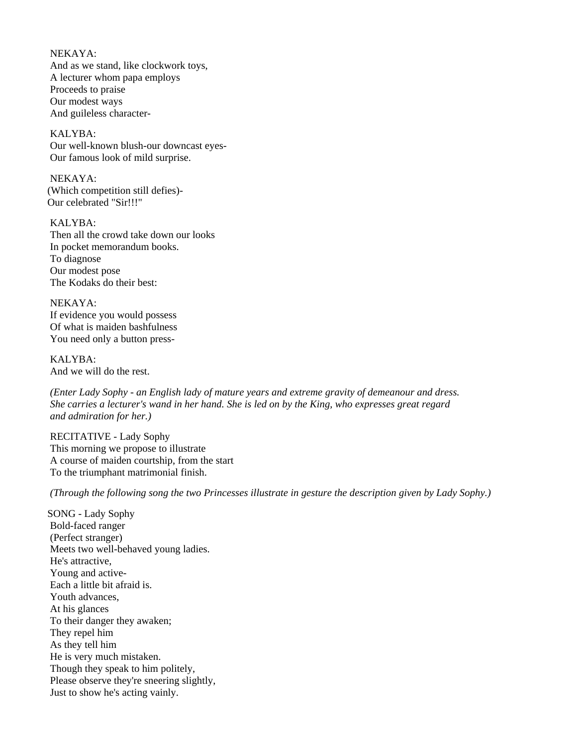NEKAYA: And as we stand, like clockwork toys, A lecturer whom papa employs Proceeds to praise Our modest ways And guileless character-

 KALYBA: Our well-known blush-our downcast eyes- Our famous look of mild surprise.

 NEKAYA: (Which competition still defies)- Our celebrated "Sir!!!"

 KALYBA: Then all the crowd take down our looks In pocket memorandum books. To diagnose Our modest pose The Kodaks do their best:

 NEKAYA: If evidence you would possess Of what is maiden bashfulness You need only a button press-

 KALYBA: And we will do the rest.

 *(Enter Lady Sophy - an English lady of mature years and extreme gravity of demeanour and dress. She carries a lecturer's wand in her hand. She is led on by the King, who expresses great regard and admiration for her.)* 

 RECITATIVE - Lady Sophy This morning we propose to illustrate A course of maiden courtship, from the start To the triumphant matrimonial finish.

 *(Through the following song the two Princesses illustrate in gesture the description given by Lady Sophy.)* 

SONG - Lady Sophy Bold-faced ranger (Perfect stranger) Meets two well-behaved young ladies. He's attractive, Young and active- Each a little bit afraid is. Youth advances, At his glances To their danger they awaken; They repel him As they tell him He is very much mistaken. Though they speak to him politely, Please observe they're sneering slightly, Just to show he's acting vainly.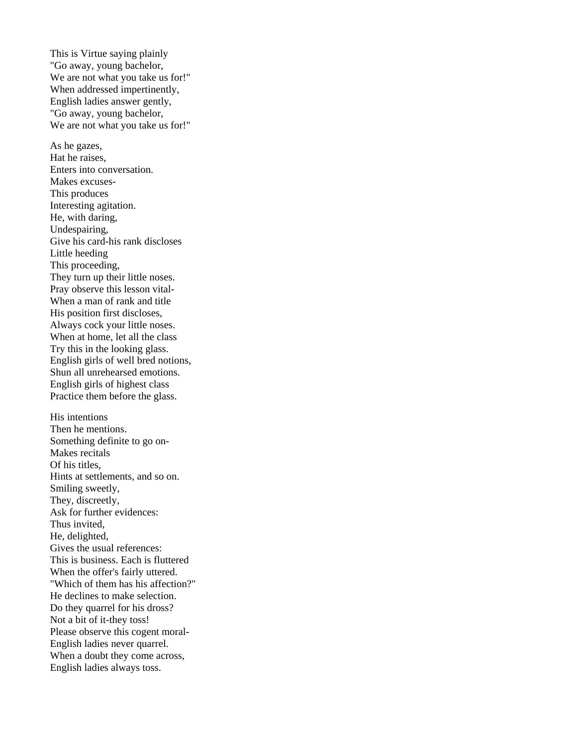This is Virtue saying plainly "Go away, young bachelor, We are not what you take us for!" When addressed impertinently, English ladies answer gently, "Go away, young bachelor, We are not what you take us for!" As he gazes, Hat he raises, Enters into conversation. Makes excuses- This produces Interesting agitation. He, with daring, Undespairing, Give his card-his rank discloses Little heeding This proceeding, They turn up their little noses. Pray observe this lesson vital- When a man of rank and title His position first discloses, Always cock your little noses. When at home, let all the class Try this in the looking glass. English girls of well bred notions, Shun all unrehearsed emotions. English girls of highest class Practice them before the glass. His intentions Then he mentions. Something definite to go on- Makes recitals Of his titles, Hints at settlements, and so on. Smiling sweetly, They, discreetly, Ask for further evidences: Thus invited, He, delighted, Gives the usual references: This is business. Each is fluttered When the offer's fairly uttered. "Which of them has his affection?" He declines to make selection. Do they quarrel for his dross? Not a bit of it-they toss! Please observe this cogent moral- English ladies never quarrel. When a doubt they come across, English ladies always toss.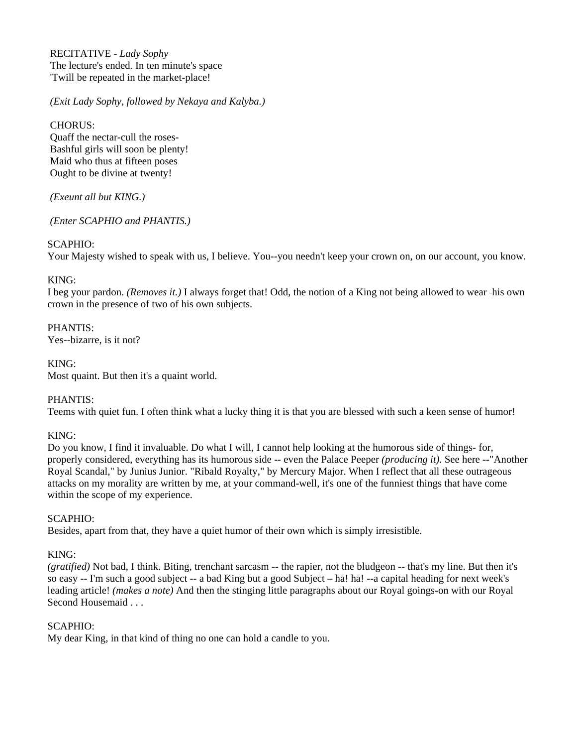RECITATIVE - *Lady Sophy* The lecture's ended. In ten minute's space 'Twill be repeated in the market-place!

 *(Exit Lady Sophy, followed by Nekaya and Kalyba.)* 

 CHORUS: Quaff the nectar-cull the roses- Bashful girls will soon be plenty! Maid who thus at fifteen poses Ought to be divine at twenty!

 *(Exeunt all but KING.)* 

 *(Enter SCAPHIO and PHANTIS.)* 

# SCAPHIO:

Your Majesty wished to speak with us, I believe. You--you needn't keep your crown on, on our account, you know.

# KING:

I beg your pardon. *(Removes it.)* I always forget that! Odd, the notion of a King not being allowed to wear his own crown in the presence of two of his own subjects.

PHANTIS: Yes--bizarre, is it not?

KING: Most quaint. But then it's a quaint world.

# PHANTIS:

Teems with quiet fun. I often think what a lucky thing it is that you are blessed with such a keen sense of humor!

## KING:

Do you know, I find it invaluable. Do what I will, I cannot help looking at the humorous side of things- for, properly considered, everything has its humorous side -- even the Palace Peeper *(producing it).* See here --"Another Royal Scandal," by Junius Junior. "Ribald Royalty," by Mercury Major. When I reflect that all these outrageous attacks on my morality are written by me, at your command-well, it's one of the funniest things that have come within the scope of my experience.

## $SCAPHIO<sup>+</sup>$

Besides, apart from that, they have a quiet humor of their own which is simply irresistible.

# KING:

*(gratified)* Not bad, I think. Biting, trenchant sarcasm -- the rapier, not the bludgeon -- that's my line. But then it's so easy -- I'm such a good subject -- a bad King but a good Subject – ha! ha! --a capital heading for next week's leading article! *(makes a note)* And then the stinging little paragraphs about our Royal goings-on with our Royal Second Housemaid . . .

## SCAPHIO:

My dear King, in that kind of thing no one can hold a candle to you.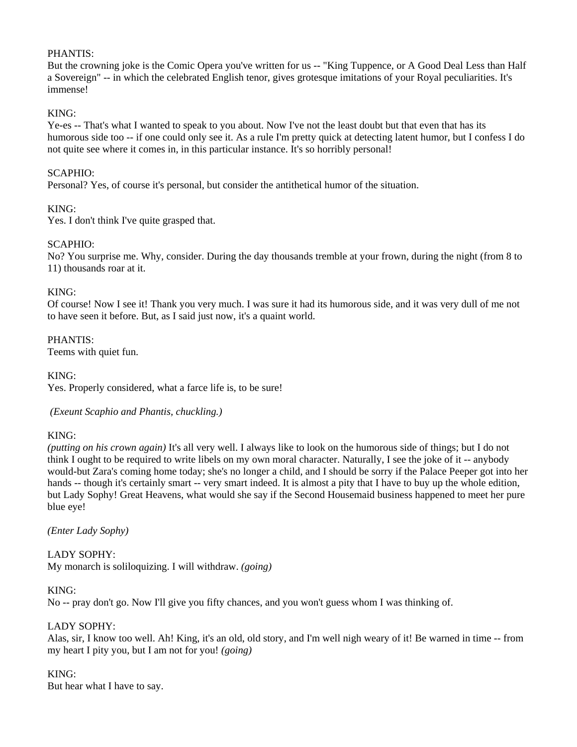## PHANTIS:

But the crowning joke is the Comic Opera you've written for us -- "King Tuppence, or A Good Deal Less than Half a Sovereign" -- in which the celebrated English tenor, gives grotesque imitations of your Royal peculiarities. It's immense!

# KING:

Ye-es -- That's what I wanted to speak to you about. Now I've not the least doubt but that even that has its humorous side too -- if one could only see it. As a rule I'm pretty quick at detecting latent humor, but I confess I do not quite see where it comes in, in this particular instance. It's so horribly personal!

## SCAPHIO:

Personal? Yes, of course it's personal, but consider the antithetical humor of the situation.

# KING:

Yes. I don't think I've quite grasped that.

# SCAPHIO:

No? You surprise me. Why, consider. During the day thousands tremble at your frown, during the night (from 8 to 11) thousands roar at it.

## KING:

Of course! Now I see it! Thank you very much. I was sure it had its humorous side, and it was very dull of me not to have seen it before. But, as I said just now, it's a quaint world.

PHANTIS: Teems with quiet fun.

KING:

Yes. Properly considered, what a farce life is, to be sure!

 *(Exeunt Scaphio and Phantis, chuckling.)* 

## KING:

*(putting on his crown again)* It's all very well. I always like to look on the humorous side of things; but I do not think I ought to be required to write libels on my own moral character. Naturally, I see the joke of it -- anybody would-but Zara's coming home today; she's no longer a child, and I should be sorry if the Palace Peeper got into her hands -- though it's certainly smart -- very smart indeed. It is almost a pity that I have to buy up the whole edition, but Lady Sophy! Great Heavens, what would she say if the Second Housemaid business happened to meet her pure blue eye!

## *(Enter Lady Sophy)*

LADY SOPHY: My monarch is soliloquizing. I will withdraw. *(going)* 

## KING:

No -- pray don't go. Now I'll give you fifty chances, and you won't guess whom I was thinking of.

# LADY SOPHY:

Alas, sir, I know too well. Ah! King, it's an old, old story, and I'm well nigh weary of it! Be warned in time -- from my heart I pity you, but I am not for you! *(going)* 

## KING:

But hear what I have to say.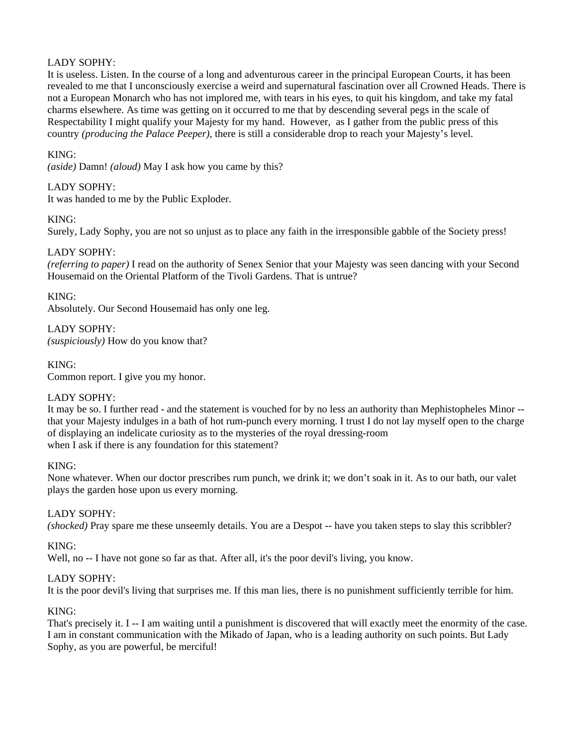# LADY SOPHY:

It is useless. Listen. In the course of a long and adventurous career in the principal European Courts, it has been revealed to me that I unconsciously exercise a weird and supernatural fascination over all Crowned Heads. There is not a European Monarch who has not implored me, with tears in his eyes, to quit his kingdom, and take my fatal charms elsewhere. As time was getting on it occurred to me that by descending several pegs in the scale of Respectability I might qualify your Majesty for my hand. However, as I gather from the public press of this country *(producing the Palace Peeper),* there is still a considerable drop to reach your Majesty's level.

# KING:

*(aside)* Damn! *(aloud)* May I ask how you came by this?

# LADY SOPHY:

It was handed to me by the Public Exploder.

## KING:

Surely, Lady Sophy, you are not so unjust as to place any faith in the irresponsible gabble of the Society press!

# LADY SOPHY:

*(referring to paper)* I read on the authority of Senex Senior that your Majesty was seen dancing with your Second Housemaid on the Oriental Platform of the Tivoli Gardens. That is untrue?

# KING:

Absolutely. Our Second Housemaid has only one leg.

# LADY SOPHY:

*(suspiciously)* How do you know that?

## KING:

Common report. I give you my honor.

## LADY SOPHY:

It may be so. I further read - and the statement is vouched for by no less an authority than Mephistopheles Minor - that your Majesty indulges in a bath of hot rum-punch every morning. I trust I do not lay myself open to the charge of displaying an indelicate curiosity as to the mysteries of the royal dressing-room when I ask if there is any foundation for this statement?

## KING:

None whatever. When our doctor prescribes rum punch, we drink it; we don't soak in it. As to our bath, our valet plays the garden hose upon us every morning.

## LADY SOPHY:

*(shocked)* Pray spare me these unseemly details. You are a Despot -- have you taken steps to slay this scribbler?

## KING:

Well, no  $-$  I have not gone so far as that. After all, it's the poor devil's living, you know.

## LADY SOPHY:

It is the poor devil's living that surprises me. If this man lies, there is no punishment sufficiently terrible for him.

## KING:

That's precisely it. I -- I am waiting until a punishment is discovered that will exactly meet the enormity of the case. I am in constant communication with the Mikado of Japan, who is a leading authority on such points. But Lady Sophy, as you are powerful, be merciful!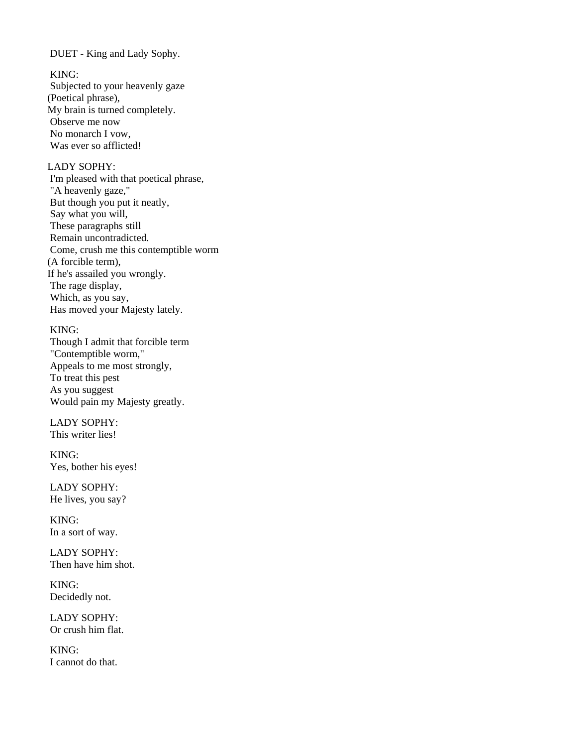DUET - King and Lady Sophy.

KING:

 Subjected to your heavenly gaze (Poetical phrase), My brain is turned completely. Observe me now No monarch I vow, Was ever so afflicted!

# LADY SOPHY:

 I'm pleased with that poetical phrase, "A heavenly gaze," But though you put it neatly, Say what you will, These paragraphs still Remain uncontradicted. Come, crush me this contemptible worm (A forcible term), If he's assailed you wrongly. The rage display, Which, as you say, Has moved your Majesty lately.

## KING:

 Though I admit that forcible term "Contemptible worm," Appeals to me most strongly, To treat this pest As you suggest Would pain my Majesty greatly.

 LADY SOPHY: This writer lies!

 KING: Yes, bother his eyes!

 LADY SOPHY: He lives, you say?

 KING: In a sort of way.

 LADY SOPHY: Then have him shot.

 KING: Decidedly not.

 LADY SOPHY: Or crush him flat.

 KING: I cannot do that.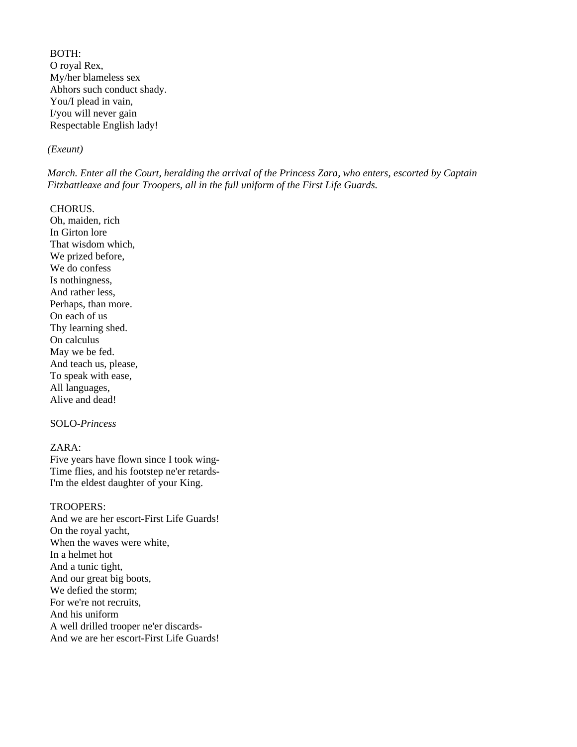BOTH: O royal Rex, My/her blameless sex Abhors such conduct shady. You/I plead in vain, I/you will never gain Respectable English lady!

### *(Exeunt)*

*March. Enter all the Court, heralding the arrival of the Princess Zara, who enters, escorted by Captain Fitzbattleaxe and four Troopers, all in the full uniform of the First Life Guards.* 

### CHORUS.

 Oh, maiden, rich In Girton lore That wisdom which, We prized before, We do confess Is nothingness, And rather less, Perhaps, than more. On each of us Thy learning shed. On calculus May we be fed. And teach us, please, To speak with ease, All languages, Alive and dead!

## SOLO-*Princess*

## ZARA:

 Five years have flown since I took wing- Time flies, and his footstep ne'er retards- I'm the eldest daughter of your King.

### TROOPERS:

 And we are her escort-First Life Guards! On the royal yacht, When the waves were white, In a helmet hot And a tunic tight, And our great big boots, We defied the storm; For we're not recruits, And his uniform A well drilled trooper ne'er discards- And we are her escort-First Life Guards!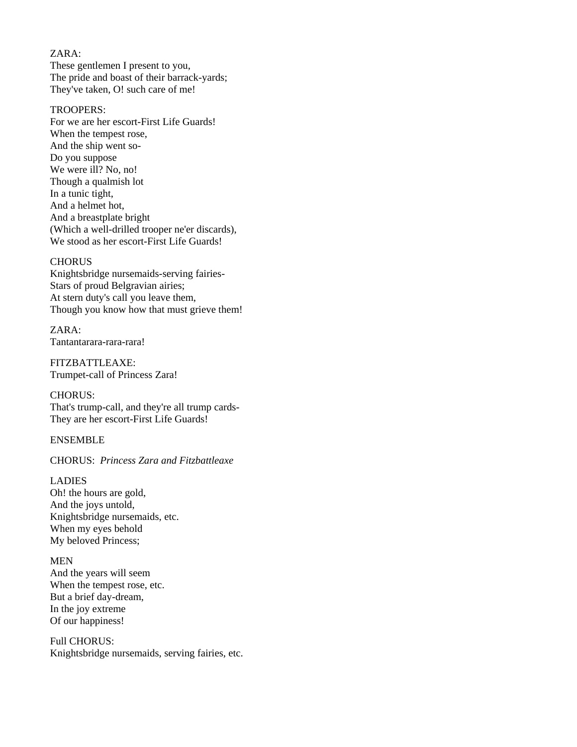## ZARA:

 These gentlemen I present to you, The pride and boast of their barrack-yards; They've taken, O! such care of me!

## TROOPERS:

 For we are her escort-First Life Guards! When the tempest rose, And the ship went so- Do you suppose We were ill? No, no! Though a qualmish lot In a tunic tight, And a helmet hot, And a breastplate bright (Which a well-drilled trooper ne'er discards), We stood as her escort-First Life Guards!

### **CHORUS**

 Knightsbridge nursemaids-serving fairies- Stars of proud Belgravian airies; At stern duty's call you leave them, Though you know how that must grieve them!

 ZARA: Tantantarara-rara-rara!

 FITZBATTLEAXE: Trumpet-call of Princess Zara!

 CHORUS: That's trump-call, and they're all trump cards- They are her escort-First Life Guards!

### ENSEMBLE

### CHORUS: *Princess Zara and Fitzbattleaxe*

#### LADIES

 Oh! the hours are gold, And the joys untold, Knightsbridge nursemaids, etc. When my eyes behold My beloved Princess;

### MEN

 And the years will seem When the tempest rose, etc. But a brief day-dream, In the joy extreme Of our happiness!

 Full CHORUS: Knightsbridge nursemaids, serving fairies, etc.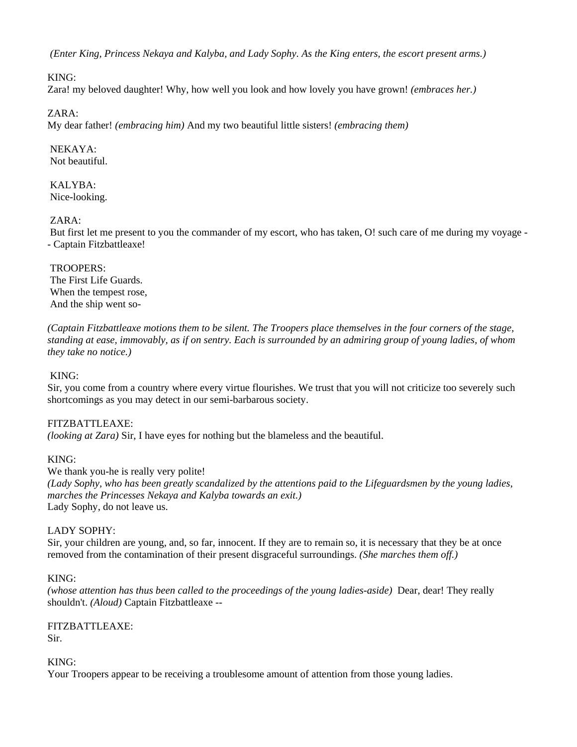*(Enter King, Princess Nekaya and Kalyba, and Lady Sophy. As the King enters, the escort present arms.)* 

# KING:

Zara! my beloved daughter! Why, how well you look and how lovely you have grown! *(embraces her.)* 

# ZARA:

My dear father! *(embracing him)* And my two beautiful little sisters! *(embracing them)* 

 NEKAYA: Not beautiful.

 KALYBA: Nice-looking.

# ZARA:

 But first let me present to you the commander of my escort, who has taken, O! such care of me during my voyage - - Captain Fitzbattleaxe!

## TROOPERS:

 The First Life Guards. When the tempest rose, And the ship went so-

*(Captain Fitzbattleaxe motions them to be silent. The Troopers place themselves in the four corners of the stage, standing at ease, immovably, as if on sentry. Each is surrounded by an admiring group of young ladies, of whom they take no notice.)*

# KING:

Sir, you come from a country where every virtue flourishes. We trust that you will not criticize too severely such shortcomings as you may detect in our semi-barbarous society.

# FITZBATTLEAXE:

*(looking at Zara)* Sir, I have eyes for nothing but the blameless and the beautiful.

## KING:

We thank you-he is really very polite! *(Lady Sophy, who has been greatly scandalized by the attentions paid to the Lifeguardsmen by the young ladies, marches the Princesses Nekaya and Kalyba towards an exit.)*  Lady Sophy, do not leave us.

## LADY SOPHY:

Sir, your children are young, and, so far, innocent. If they are to remain so, it is necessary that they be at once removed from the contamination of their present disgraceful surroundings. *(She marches them off.)* 

## KING:

*(whose attention has thus been called to the proceedings of the young ladies-aside)* Dear, dear! They really shouldn't. *(Aloud)* Captain Fitzbattleaxe --

# FITZBATTLEAXE:

Sir.

## KING:

Your Troopers appear to be receiving a troublesome amount of attention from those young ladies.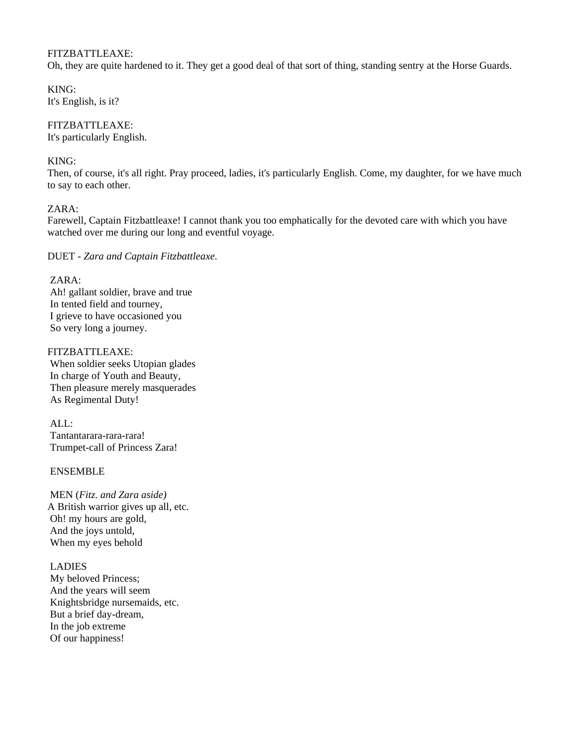## FITZBATTLEAXE:

Oh, they are quite hardened to it. They get a good deal of that sort of thing, standing sentry at the Horse Guards.

KING: It's English, is it?

# FITZBATTLEAXE:

It's particularly English.

# KING:

Then, of course, it's all right. Pray proceed, ladies, it's particularly English. Come, my daughter, for we have much to say to each other.

# ZARA:

Farewell, Captain Fitzbattleaxe! I cannot thank you too emphatically for the devoted care with which you have watched over me during our long and eventful voyage.

DUET - *Zara and Captain Fitzbattleaxe*.

# ZARA:

 Ah! gallant soldier, brave and true In tented field and tourney, I grieve to have occasioned you So very long a journey.

FITZBATTLEAXE: When soldier seeks Utopian glades In charge of Youth and Beauty, Then pleasure merely masquerades As Regimental Duty!

 ALL: Tantantarara-rara-rara! Trumpet-call of Princess Zara!

## ENSEMBLE

 MEN (*Fitz. and Zara aside)*  A British warrior gives up all, etc. Oh! my hours are gold, And the joys untold, When my eyes behold

## LADIES

 My beloved Princess; And the years will seem Knightsbridge nursemaids, etc. But a brief day-dream, In the job extreme Of our happiness!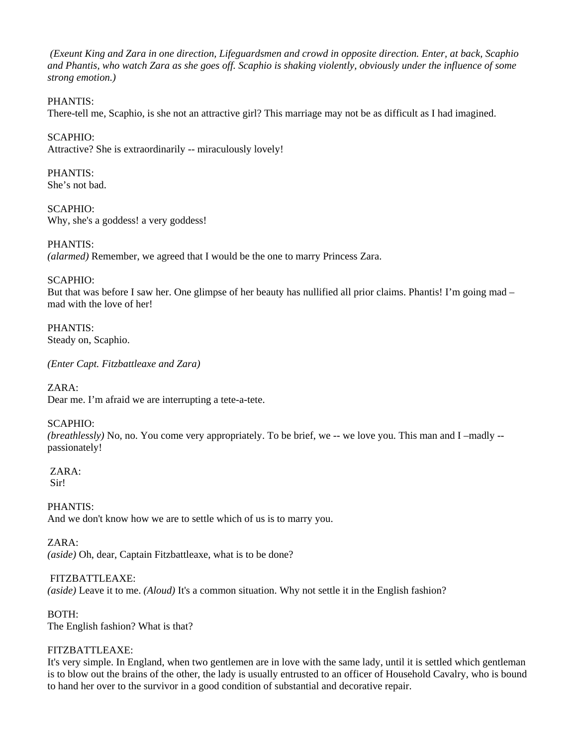*(Exeunt King and Zara in one direction, Lifeguardsmen and crowd in opposite direction. Enter, at back, Scaphio and Phantis, who watch Zara as she goes off. Scaphio is shaking violently, obviously under the influence of some strong emotion.)* 

# PHANTIS:

There-tell me, Scaphio, is she not an attractive girl? This marriage may not be as difficult as I had imagined.

SCAPHIO: Attractive? She is extraordinarily -- miraculously lovely!

PHANTIS: She's not bad.

SCAPHIO: Why, she's a goddess! a very goddess!

PHANTIS: *(alarmed)* Remember, we agreed that I would be the one to marry Princess Zara.

SCAPHIO:

But that was before I saw her. One glimpse of her beauty has nullified all prior claims. Phantis! I'm going mad – mad with the love of her!

PHANTIS: Steady on, Scaphio.

*(Enter Capt. Fitzbattleaxe and Zara)* 

ZARA:

Dear me. I'm afraid we are interrupting a tete-a-tete.

## SCAPHIO:

*(breathlessly)* No, no. You come very appropriately. To be brief, we -- we love you. This man and I –madly - passionately!

 ZARA: Sir!

PHANTIS: And we don't know how we are to settle which of us is to marry you.

ZARA:

*(aside)* Oh, dear, Captain Fitzbattleaxe, what is to be done?

## FITZBATTLEAXE:

*(aside)* Leave it to me. *(Aloud)* It's a common situation. Why not settle it in the English fashion?

BOTH:

The English fashion? What is that?

## FITZBATTLEAXE:

It's very simple. In England, when two gentlemen are in love with the same lady, until it is settled which gentleman is to blow out the brains of the other, the lady is usually entrusted to an officer of Household Cavalry, who is bound to hand her over to the survivor in a good condition of substantial and decorative repair.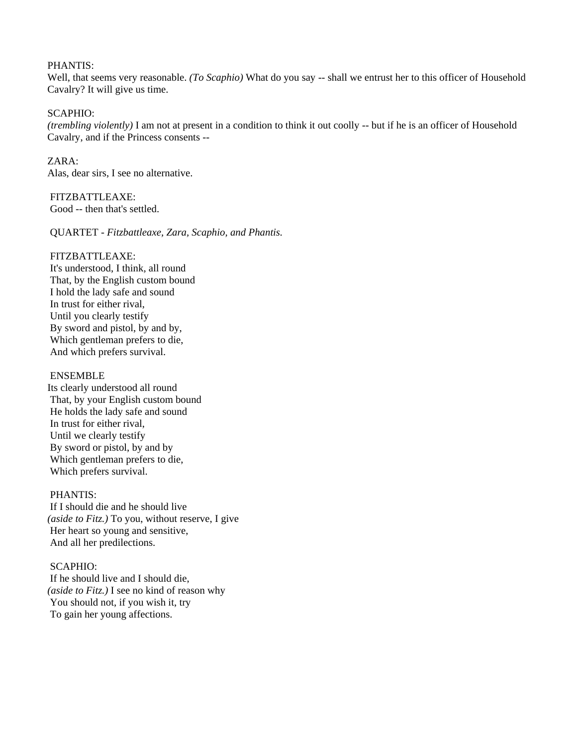### PHANTIS:

Well, that seems very reasonable. *(To Scaphio)* What do you say -- shall we entrust her to this officer of Household Cavalry? It will give us time.

## SCAPHIO:

*(trembling violently)* I am not at present in a condition to think it out coolly -- but if he is an officer of Household Cavalry, and if the Princess consents --

 $ZARA$ Alas, dear sirs, I see no alternative.

 FITZBATTLEAXE: Good -- then that's settled.

QUARTET - *Fitzbattleaxe, Zara, Scaphio, and Phantis.* 

### FITZBATTLEAXE:

 It's understood, I think, all round That, by the English custom bound I hold the lady safe and sound In trust for either rival, Until you clearly testify By sword and pistol, by and by, Which gentleman prefers to die, And which prefers survival.

## ENSEMBLE

Its clearly understood all round That, by your English custom bound He holds the lady safe and sound In trust for either rival, Until we clearly testify By sword or pistol, by and by Which gentleman prefers to die, Which prefers survival.

### PHANTIS:

 If I should die and he should live *(aside to Fitz.)* To you, without reserve, I give Her heart so young and sensitive, And all her predilections.

## SCAPHIO:

 If he should live and I should die, *(aside to Fitz.)* I see no kind of reason why You should not, if you wish it, try To gain her young affections.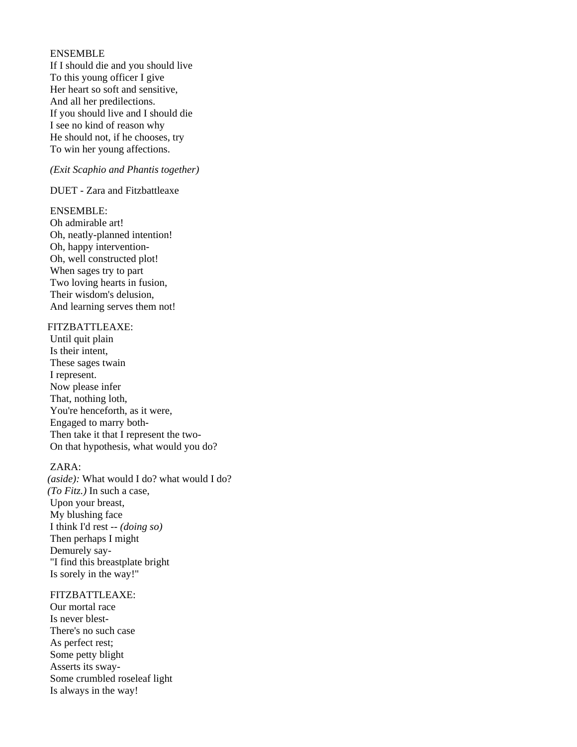### ENSEMBLE

 If I should die and you should live To this young officer I give Her heart so soft and sensitive, And all her predilections. If you should live and I should die I see no kind of reason why He should not, if he chooses, try To win her young affections.

### *(Exit Scaphio and Phantis together)*

DUET - Zara and Fitzbattleaxe

### ENSEMBLE:

 Oh admirable art! Oh, neatly-planned intention! Oh, happy intervention- Oh, well constructed plot! When sages try to part Two loving hearts in fusion, Their wisdom's delusion, And learning serves them not!

### FITZBATTLEAXE:

 Until quit plain Is their intent, These sages twain I represent. Now please infer That, nothing loth, You're henceforth, as it were, Engaged to marry both- Then take it that I represent the two- On that hypothesis, what would you do?

### ZARA:

*(aside):* What would I do? what would I do? *(To Fitz.)* In such a case, Upon your breast, My blushing face I think I'd rest *-- (doing so)*  Then perhaps I might Demurely say- "I find this breastplate bright Is sorely in the way!"

## FITZBATTLEAXE:

 Our mortal race Is never blest- There's no such case As perfect rest; Some petty blight Asserts its sway- Some crumbled roseleaf light Is always in the way!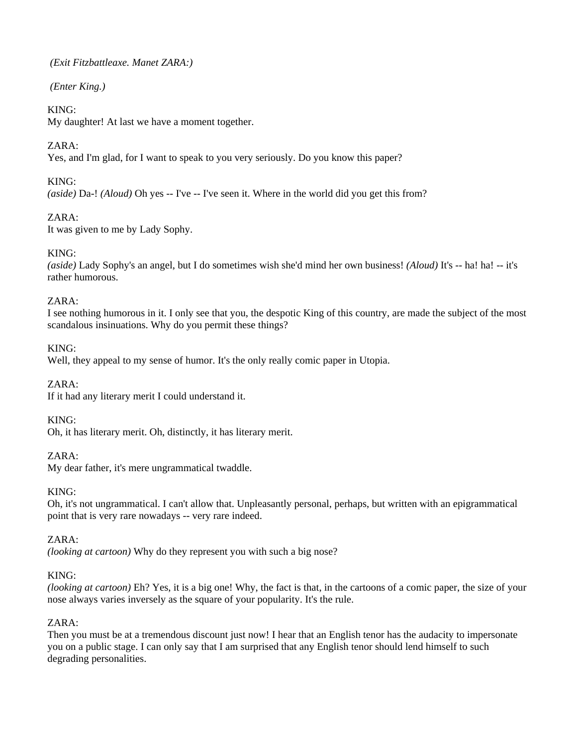*(Exit Fitzbattleaxe. Manet ZARA:)* 

 *(Enter King.)* 

# KING:

My daughter! At last we have a moment together.

# ZARA:

Yes, and I'm glad, for I want to speak to you very seriously. Do you know this paper?

# KING:

*(aside)* Da-! *(Aloud)* Oh yes -- I've -- I've seen it. Where in the world did you get this from?

# ZARA:

It was given to me by Lady Sophy.

# KING:

*(aside)* Lady Sophy's an angel, but I do sometimes wish she'd mind her own business! *(Aloud)* It's -- ha! ha! -- it's rather humorous.

# ZARA:

I see nothing humorous in it. I only see that you, the despotic King of this country, are made the subject of the most scandalous insinuations. Why do you permit these things?

KING:

Well, they appeal to my sense of humor. It's the only really comic paper in Utopia.

 $ZARA$ 

If it had any literary merit I could understand it.

KING:

Oh, it has literary merit. Oh, distinctly, it has literary merit.

# $ZARA$

My dear father, it's mere ungrammatical twaddle.

# KING:

Oh, it's not ungrammatical. I can't allow that. Unpleasantly personal, perhaps, but written with an epigrammatical point that is very rare nowadays -- very rare indeed.

ZARA:

*(looking at cartoon)* Why do they represent you with such a big nose?

# KING:

*(looking at cartoon)* Eh? Yes, it is a big one! Why, the fact is that, in the cartoons of a comic paper, the size of your nose always varies inversely as the square of your popularity. It's the rule.

# ZARA:

Then you must be at a tremendous discount just now! I hear that an English tenor has the audacity to impersonate you on a public stage. I can only say that I am surprised that any English tenor should lend himself to such degrading personalities.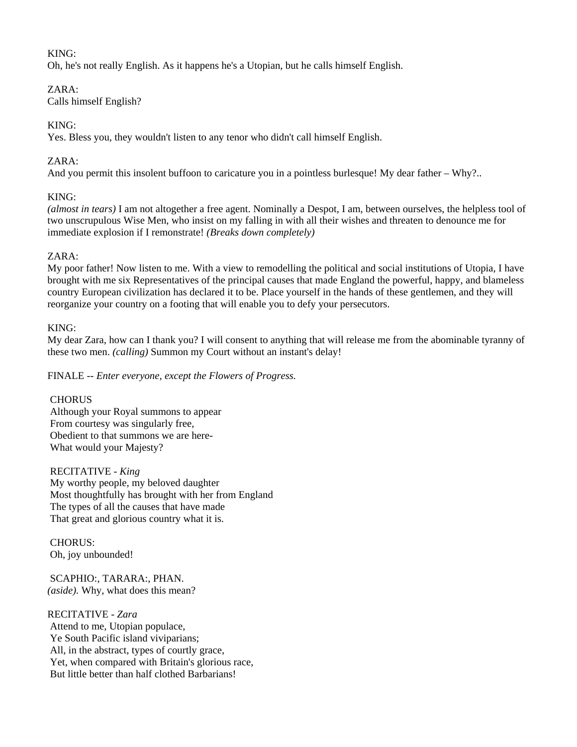# KING:

Oh, he's not really English. As it happens he's a Utopian, but he calls himself English.

## ZARA:

Calls himself English?

# KING:

Yes. Bless you, they wouldn't listen to any tenor who didn't call himself English.

# ZARA:

And you permit this insolent buffoon to caricature you in a pointless burlesque! My dear father – Why?..

# KING:

*(almost in tears)* I am not altogether a free agent. Nominally a Despot, I am, between ourselves, the helpless tool of two unscrupulous Wise Men, who insist on my falling in with all their wishes and threaten to denounce me for immediate explosion if I remonstrate! *(Breaks down completely)* 

# $ZARA$

My poor father! Now listen to me. With a view to remodelling the political and social institutions of Utopia, I have brought with me six Representatives of the principal causes that made England the powerful, happy, and blameless country European civilization has declared it to be. Place yourself in the hands of these gentlemen, and they will reorganize your country on a footing that will enable you to defy your persecutors.

# KING:

My dear Zara, how can I thank you? I will consent to anything that will release me from the abominable tyranny of these two men. *(calling)* Summon my Court without an instant's delay!

FINALE -- *Enter everyone, except the Flowers of Progress.* 

# **CHORUS**

 Although your Royal summons to appear From courtesy was singularly free, Obedient to that summons we are here- What would your Majesty?

 RECITATIVE - *King*  My worthy people, my beloved daughter Most thoughtfully has brought with her from England The types of all the causes that have made That great and glorious country what it is.

 CHORUS: Oh, joy unbounded!

 SCAPHIO:, TARARA:, PHAN. *(aside).* Why, what does this mean?

## RECITATIVE - *Zara*

 Attend to me, Utopian populace, Ye South Pacific island viviparians; All, in the abstract, types of courtly grace, Yet, when compared with Britain's glorious race, But little better than half clothed Barbarians!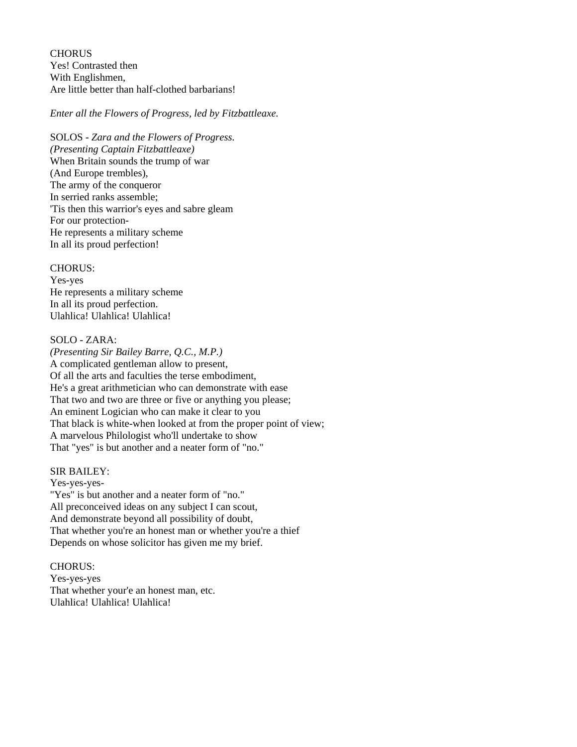**CHORUS**  Yes! Contrasted then With Englishmen, Are little better than half-clothed barbarians!

### *Enter all the Flowers of Progress, led by Fitzbattleaxe.*

 SOLOS *- Zara and the Flowers of Progress. (Presenting Captain Fitzbattleaxe)*  When Britain sounds the trump of war (And Europe trembles), The army of the conqueror In serried ranks assemble; 'Tis then this warrior's eyes and sabre gleam For our protection- He represents a military scheme In all its proud perfection!

### CHORUS:

 Yes-yes He represents a military scheme In all its proud perfection. Ulahlica! Ulahlica! Ulahlica!

### SOLO - ZARA:

*(Presenting Sir Bailey Barre, Q.C., M.P.)*  A complicated gentleman allow to present, Of all the arts and faculties the terse embodiment, He's a great arithmetician who can demonstrate with ease That two and two are three or five or anything you please; An eminent Logician who can make it clear to you That black is white-when looked at from the proper point of view; A marvelous Philologist who'll undertake to show That "yes" is but another and a neater form of "no."

### SIR BAILEY:

 Yes-yes-yes- "Yes" is but another and a neater form of "no." All preconceived ideas on any subject I can scout, And demonstrate beyond all possibility of doubt, That whether you're an honest man or whether you're a thief Depends on whose solicitor has given me my brief.

### CHORUS:

 Yes-yes-yes That whether your'e an honest man, etc. Ulahlica! Ulahlica! Ulahlica!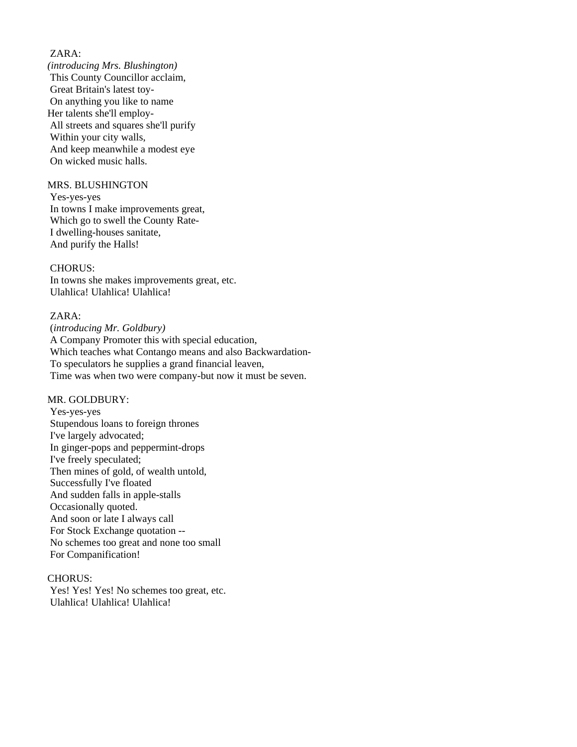## ZARA:

*(introducing Mrs. Blushington)*  This County Councillor acclaim, Great Britain's latest toy- On anything you like to name Her talents she'll employ- All streets and squares she'll purify Within your city walls, And keep meanwhile a modest eye On wicked music halls.

### MRS. BLUSHINGTON

 Yes-yes-yes In towns I make improvements great, Which go to swell the County Rate- I dwelling-houses sanitate, And purify the Halls!

### CHORUS:

 In towns she makes improvements great, etc. Ulahlica! Ulahlica! Ulahlica!

### ZARA:

 (*introducing Mr. Goldbury)*  A Company Promoter this with special education, Which teaches what Contango means and also Backwardation- To speculators he supplies a grand financial leaven, Time was when two were company-but now it must be seven.

## MR. GOLDBURY:

 Yes-yes-yes Stupendous loans to foreign thrones I've largely advocated; In ginger-pops and peppermint-drops I've freely speculated; Then mines of gold, of wealth untold, Successfully I've floated And sudden falls in apple-stalls Occasionally quoted. And soon or late I always call For Stock Exchange quotation -- No schemes too great and none too small For Companification!

### CHORUS:

 Yes! Yes! Yes! No schemes too great, etc. Ulahlica! Ulahlica! Ulahlica!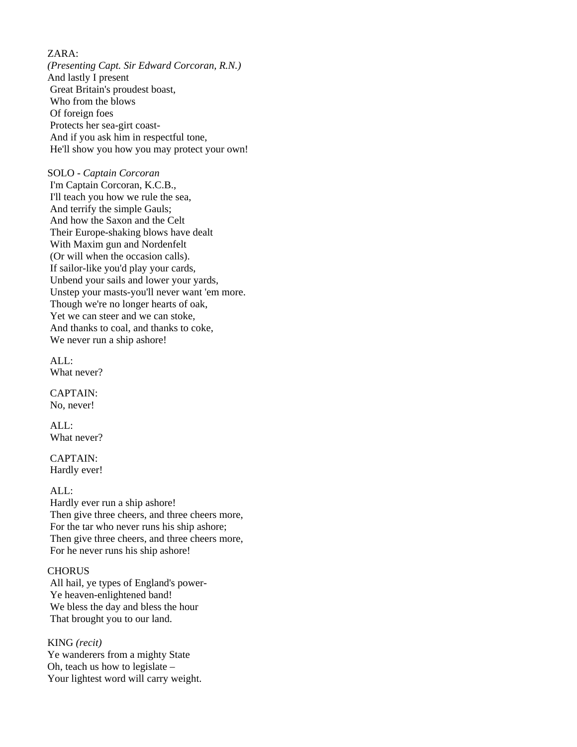# ZARA:

*(Presenting Capt. Sir Edward Corcoran, R.N.)*  And lastly I present Great Britain's proudest boast, Who from the blows Of foreign foes Protects her sea-girt coast- And if you ask him in respectful tone, He'll show you how you may protect your own!

## SOLO - *Captain Corcoran*

 I'm Captain Corcoran, K.C.B., I'll teach you how we rule the sea, And terrify the simple Gauls; And how the Saxon and the Celt Their Europe-shaking blows have dealt With Maxim gun and Nordenfelt (Or will when the occasion calls). If sailor-like you'd play your cards, Unbend your sails and lower your yards, Unstep your masts-you'll never want 'em more. Though we're no longer hearts of oak, Yet we can steer and we can stoke, And thanks to coal, and thanks to coke, We never run a ship ashore!

 ALL: What never?

 CAPTAIN: No, never!

 ALL: What never?

 CAPTAIN: Hardly ever!

### ALL:

 Hardly ever run a ship ashore! Then give three cheers, and three cheers more, For the tar who never runs his ship ashore; Then give three cheers, and three cheers more, For he never runs his ship ashore!

### **CHORUS**

 All hail, ye types of England's power- Ye heaven-enlightened band! We bless the day and bless the hour That brought you to our land.

### KING *(recit)*

Ye wanderers from a mighty State Oh, teach us how to legislate – Your lightest word will carry weight.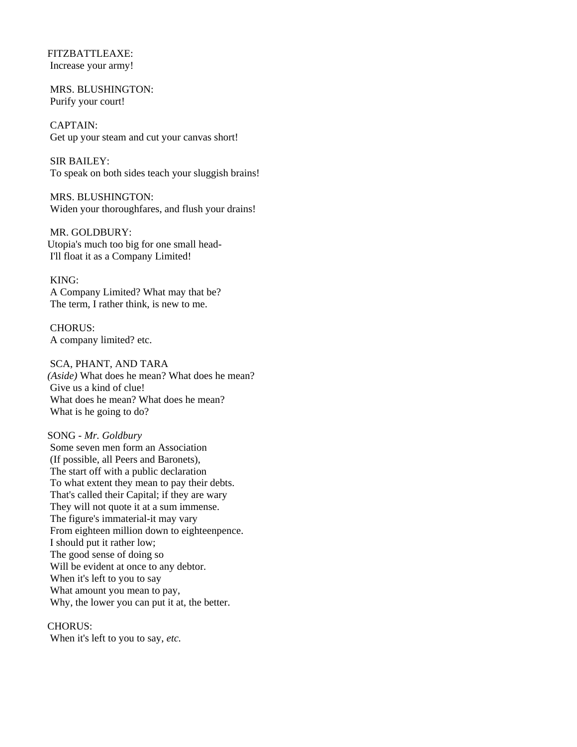FITZBATTLEAXE: Increase your army!

 MRS. BLUSHINGTON: Purify your court!

 CAPTAIN: Get up your steam and cut your canvas short!

 SIR BAILEY: To speak on both sides teach your sluggish brains!

 MRS. BLUSHINGTON: Widen your thoroughfares, and flush your drains!

 MR. GOLDBURY: Utopia's much too big for one small head- I'll float it as a Company Limited!

 KING: A Company Limited? What may that be? The term, I rather think, is new to me.

 CHORUS: A company limited? etc.

 SCA, PHANT, AND TARA *(Aside)* What does he mean? What does he mean? Give us a kind of clue! What does he mean? What does he mean? What is he going to do?

SONG - *Mr. Goldbury* Some seven men form an Association (If possible, all Peers and Baronets), The start off with a public declaration To what extent they mean to pay their debts. That's called their Capital; if they are wary They will not quote it at a sum immense. The figure's immaterial-it may vary From eighteen million down to eighteenpence. I should put it rather low; The good sense of doing so Will be evident at once to any debtor. When it's left to you to say What amount you mean to pay, Why, the lower you can put it at, the better.

CHORUS: When it's left to you to say, *etc.*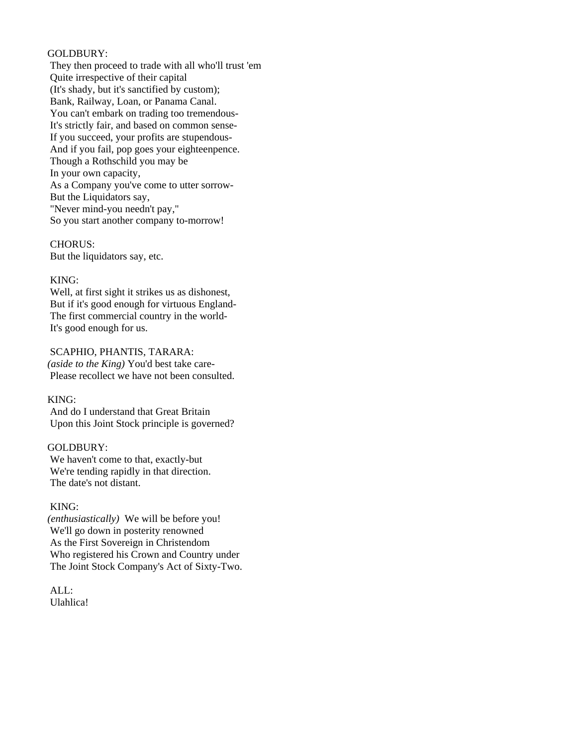### GOLDBURY:

 They then proceed to trade with all who'll trust 'em Quite irrespective of their capital (It's shady, but it's sanctified by custom); Bank, Railway, Loan, or Panama Canal. You can't embark on trading too tremendous- It's strictly fair, and based on common sense- If you succeed, your profits are stupendous- And if you fail, pop goes your eighteenpence. Though a Rothschild you may be In your own capacity, As a Company you've come to utter sorrow- But the Liquidators say, "Never mind-you needn't pay," So you start another company to-morrow!

 CHORUS: But the liquidators say, etc.

## KING:

 Well, at first sight it strikes us as dishonest, But if it's good enough for virtuous England- The first commercial country in the world- It's good enough for us.

 SCAPHIO, PHANTIS, TARARA: *(aside to the King)* You'd best take care- Please recollect we have not been consulted.

### KING:

 And do I understand that Great Britain Upon this Joint Stock principle is governed?

## GOLDBURY:

 We haven't come to that, exactly-but We're tending rapidly in that direction. The date's not distant.

### KING:

*(enthusiastically)* We will be before you! We'll go down in posterity renowned As the First Sovereign in Christendom Who registered his Crown and Country under The Joint Stock Company's Act of Sixty-Two.

 ALL: Ulahlica!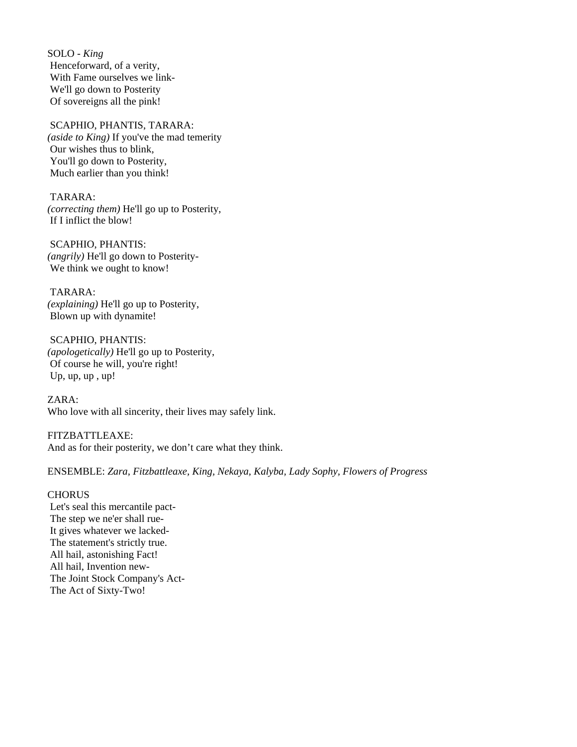SOLO - *King*  Henceforward, of a verity, With Fame ourselves we link- We'll go down to Posterity Of sovereigns all the pink!

 SCAPHIO, PHANTIS, TARARA: *(aside to King)* If you've the mad temerity Our wishes thus to blink, You'll go down to Posterity, Much earlier than you think!

 TARARA: *(correcting them)* He'll go up to Posterity, If I inflict the blow!

 SCAPHIO, PHANTIS: *(angrily)* He'll go down to Posterity- We think we ought to know!

 TARARA: *(explaining)* He'll go up to Posterity, Blown up with dynamite!

 SCAPHIO, PHANTIS: *(apologetically)* He'll go up to Posterity, Of course he will, you're right! Up, up, up, up!

ZARA: Who love with all sincerity, their lives may safely link.

FITZBATTLEAXE: And as for their posterity, we don't care what they think.

ENSEMBLE: *Zara, Fitzbattleaxe, King, Nekaya, Kalyba, Lady Sophy, Flowers of Progress* 

## **CHORUS**

 Let's seal this mercantile pact- The step we ne'er shall rue- It gives whatever we lacked- The statement's strictly true. All hail, astonishing Fact! All hail, Invention new- The Joint Stock Company's Act- The Act of Sixty-Two!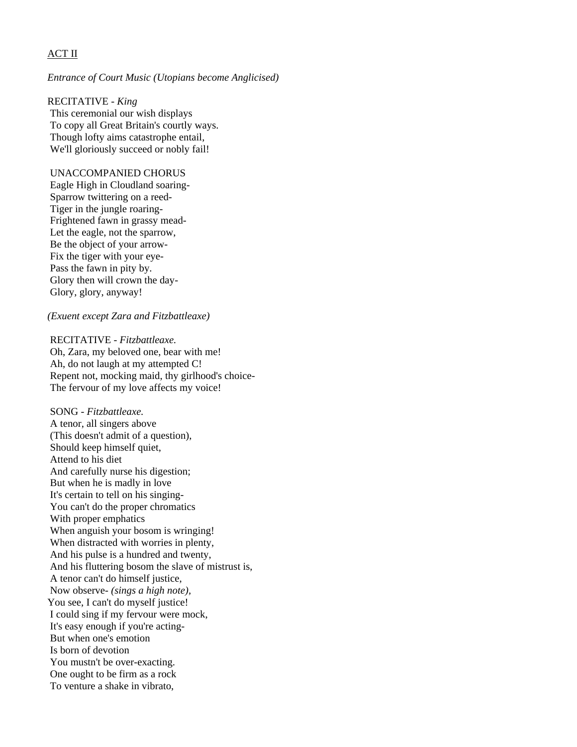# ACT II

### *Entrance of Court Music (Utopians become Anglicised)*

RECITATIVE - *King*  This ceremonial our wish displays To copy all Great Britain's courtly ways. Though lofty aims catastrophe entail, We'll gloriously succeed or nobly fail!

### UNACCOMPANIED CHORUS

 Eagle High in Cloudland soaring- Sparrow twittering on a reed- Tiger in the jungle roaring- Frightened fawn in grassy mead- Let the eagle, not the sparrow, Be the object of your arrow- Fix the tiger with your eye- Pass the fawn in pity by. Glory then will crown the day- Glory, glory, anyway!

### *(Exuent except Zara and Fitzbattleaxe)*

 RECITATIVE - *Fitzbattleaxe.*  Oh, Zara, my beloved one, bear with me! Ah, do not laugh at my attempted C! Repent not, mocking maid, thy girlhood's choice- The fervour of my love affects my voice!

 SONG - *Fitzbattleaxe.* A tenor, all singers above (This doesn't admit of a question), Should keep himself quiet, Attend to his diet And carefully nurse his digestion; But when he is madly in love It's certain to tell on his singing- You can't do the proper chromatics With proper emphatics When anguish your bosom is wringing! When distracted with worries in plenty, And his pulse is a hundred and twenty, And his fluttering bosom the slave of mistrust is, A tenor can't do himself justice, Now observe- *(sings a high note),*  You see, I can't do myself justice! I could sing if my fervour were mock, It's easy enough if you're acting- But when one's emotion Is born of devotion You mustn't be over-exacting. One ought to be firm as a rock To venture a shake in vibrato,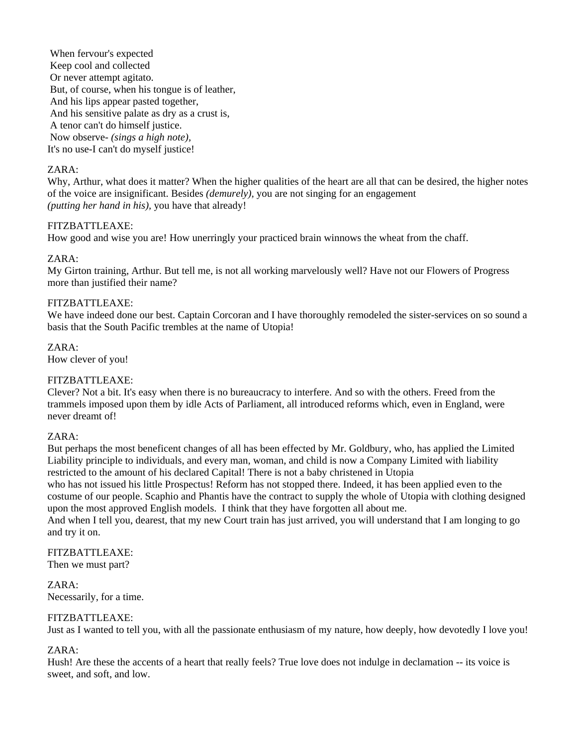When fervour's expected Keep cool and collected Or never attempt agitato. But, of course, when his tongue is of leather, And his lips appear pasted together, And his sensitive palate as dry as a crust is, A tenor can't do himself justice. Now observe- *(sings a high note),*  It's no use-I can't do myself justice!

## ZARA:

Why, Arthur, what does it matter? When the higher qualities of the heart are all that can be desired, the higher notes of the voice are insignificant. Besides *(demurely),* you are not singing for an engagement *(putting her hand in his),* you have that already!

## FITZBATTLEAXE:

How good and wise you are! How unerringly your practiced brain winnows the wheat from the chaff.

## ZARA:

My Girton training, Arthur. But tell me, is not all working marvelously well? Have not our Flowers of Progress more than justified their name?

## FITZBATTLEAXE:

We have indeed done our best. Captain Corcoran and I have thoroughly remodeled the sister-services on so sound a basis that the South Pacific trembles at the name of Utopia!

ZARA: How clever of you!

# FITZBATTLEAXE:

Clever? Not a bit. It's easy when there is no bureaucracy to interfere. And so with the others. Freed from the trammels imposed upon them by idle Acts of Parliament, all introduced reforms which, even in England, were never dreamt of!

## ZARA:

But perhaps the most beneficent changes of all has been effected by Mr. Goldbury, who, has applied the Limited Liability principle to individuals, and every man, woman, and child is now a Company Limited with liability restricted to the amount of his declared Capital! There is not a baby christened in Utopia who has not issued his little Prospectus! Reform has not stopped there. Indeed, it has been applied even to the costume of our people. Scaphio and Phantis have the contract to supply the whole of Utopia with clothing designed upon the most approved English models. I think that they have forgotten all about me.

And when I tell you, dearest, that my new Court train has just arrived, you will understand that I am longing to go and try it on.

### FITZBATTLEAXE: Then we must part?

ZARA:

Necessarily, for a time.

## FITZBATTLEAXE:

Just as I wanted to tell you, with all the passionate enthusiasm of my nature, how deeply, how devotedly I love you!

## ZARA:

Hush! Are these the accents of a heart that really feels? True love does not indulge in declamation -- its voice is sweet, and soft, and low.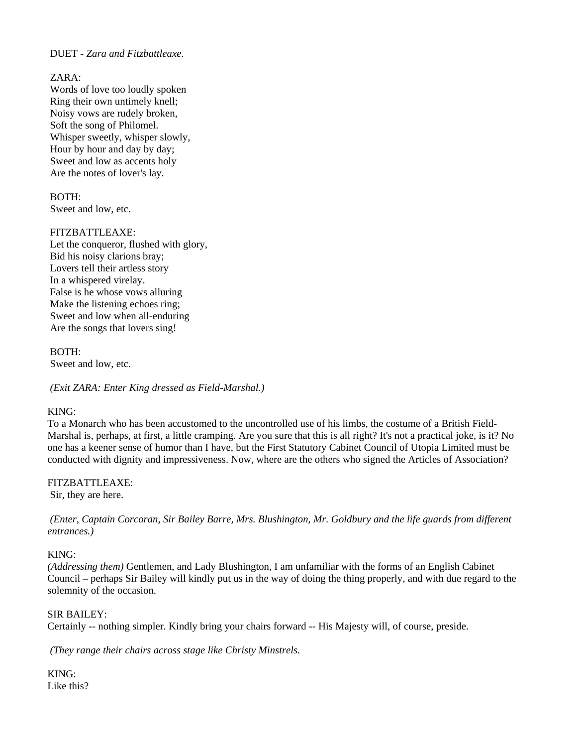## DUET - *Zara and Fitzbattleaxe*.

### $ZARA$

 Words of love too loudly spoken Ring their own untimely knell; Noisy vows are rudely broken, Soft the song of Philomel. Whisper sweetly, whisper slowly, Hour by hour and day by day; Sweet and low as accents holy Are the notes of lover's lay.

# BOTH:

Sweet and low, etc.

## FITZBATTLEAXE:

 Let the conqueror, flushed with glory, Bid his noisy clarions bray; Lovers tell their artless story In a whispered virelay. False is he whose vows alluring Make the listening echoes ring; Sweet and low when all-enduring Are the songs that lovers sing!

 BOTH: Sweet and low, etc.

*(Exit ZARA: Enter King dressed as Field-Marshal.)* 

## KING:

To a Monarch who has been accustomed to the uncontrolled use of his limbs, the costume of a British Field-Marshal is, perhaps, at first, a little cramping. Are you sure that this is all right? It's not a practical joke, is it? No one has a keener sense of humor than I have, but the First Statutory Cabinet Council of Utopia Limited must be conducted with dignity and impressiveness. Now, where are the others who signed the Articles of Association?

## FITZBATTLEAXE:

Sir, they are here.

 *(Enter, Captain Corcoran, Sir Bailey Barre, Mrs. Blushington, Mr. Goldbury and the life guards from different entrances.)* 

## KING:

*(Addressing them)* Gentlemen, and Lady Blushington, I am unfamiliar with the forms of an English Cabinet Council – perhaps Sir Bailey will kindly put us in the way of doing the thing properly, and with due regard to the solemnity of the occasion.

## SIR BAILEY:

Certainly -- nothing simpler. Kindly bring your chairs forward -- His Majesty will, of course, preside.

*(They range their chairs across stage like Christy Minstrels.* 

KING: Like this?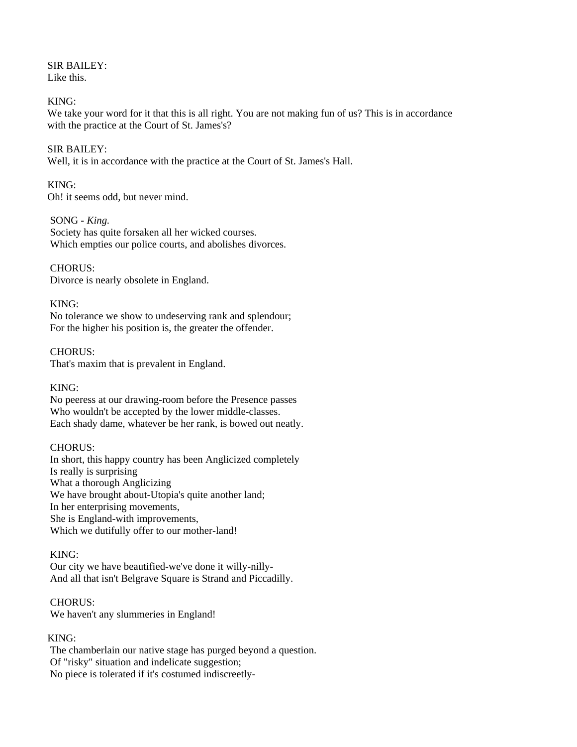SIR BAILEY: Like this.

### KING:

We take your word for it that this is all right. You are not making fun of us? This is in accordance with the practice at the Court of St. James's?

### SIR BAILEY:

Well, it is in accordance with the practice at the Court of St. James's Hall.

### KING:

Oh! it seems odd, but never mind.

### SONG *- King.*

 Society has quite forsaken all her wicked courses. Which empties our police courts, and abolishes divorces.

## CHORUS:

Divorce is nearly obsolete in England.

### KING:

 No tolerance we show to undeserving rank and splendour; For the higher his position is, the greater the offender.

### CHORUS:

That's maxim that is prevalent in England.

### KING:

 No peeress at our drawing-room before the Presence passes Who wouldn't be accepted by the lower middle-classes. Each shady dame, whatever be her rank, is bowed out neatly.

### CHORUS:

 In short, this happy country has been Anglicized completely Is really is surprising What a thorough Anglicizing We have brought about-Utopia's quite another land; In her enterprising movements, She is England-with improvements, Which we dutifully offer to our mother-land!

## KING:

 Our city we have beautified-we've done it willy-nilly- And all that isn't Belgrave Square is Strand and Piccadilly.

## CHORUS:

We haven't any slummeries in England!

## KING:

 The chamberlain our native stage has purged beyond a question. Of "risky" situation and indelicate suggestion; No piece is tolerated if it's costumed indiscreetly-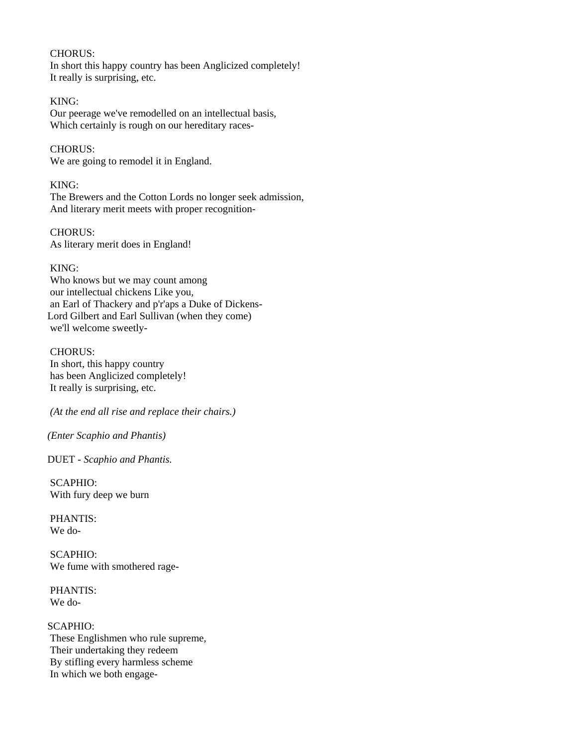### CHORUS:

 In short this happy country has been Anglicized completely! It really is surprising, etc.

## KING:

 Our peerage we've remodelled on an intellectual basis, Which certainly is rough on our hereditary races-

# CHORUS:

We are going to remodel it in England.

## KING:

 The Brewers and the Cotton Lords no longer seek admission, And literary merit meets with proper recognition-

 CHORUS: As literary merit does in England!

# KING:

 Who knows but we may count among our intellectual chickens Like you, an Earl of Thackery and p'r'aps a Duke of Dickens-Lord Gilbert and Earl Sullivan (when they come) we'll welcome sweetly-

## CHORUS:

 In short, this happy country has been Anglicized completely! It really is surprising, etc.

 *(At the end all rise and replace their chairs.)* 

*(Enter Scaphio and Phantis)* 

DUET *- Scaphio and Phantis.* 

 SCAPHIO: With fury deep we burn

 PHANTIS: We do-

 SCAPHIO: We fume with smothered rage-

 PHANTIS: We do-

SCAPHIO: These Englishmen who rule supreme, Their undertaking they redeem By stifling every harmless scheme In which we both engage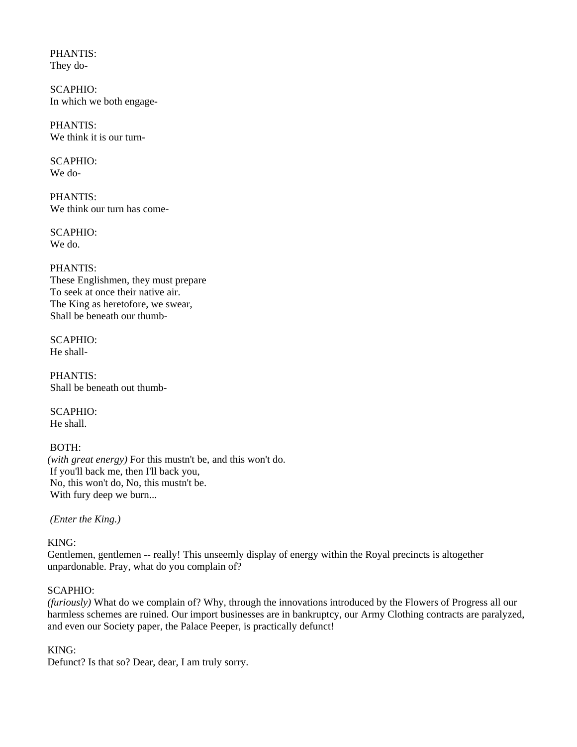PHANTIS: They do-

 SCAPHIO: In which we both engage-

 PHANTIS: We think it is our turn-

 SCAPHIO: We do-

 PHANTIS: We think our turn has come-

 SCAPHIO: We do.

 PHANTIS: These Englishmen, they must prepare To seek at once their native air. The King as heretofore, we swear, Shall be beneath our thumb-

 SCAPHIO: He shall-

 PHANTIS: Shall be beneath out thumb-

 SCAPHIO: He shall.

# BOTH:

*(with great energy)* For this mustn't be, and this won't do. If you'll back me, then I'll back you, No, this won't do, No, this mustn't be. With fury deep we burn...

 *(Enter the King.)* 

KING:

Gentlemen, gentlemen -- really! This unseemly display of energy within the Royal precincts is altogether unpardonable. Pray, what do you complain of?

## SCAPHIO:

*(furiously)* What do we complain of? Why, through the innovations introduced by the Flowers of Progress all our harmless schemes are ruined. Our import businesses are in bankruptcy, our Army Clothing contracts are paralyzed, and even our Society paper, the Palace Peeper, is practically defunct!

## KING:

Defunct? Is that so? Dear, dear, I am truly sorry.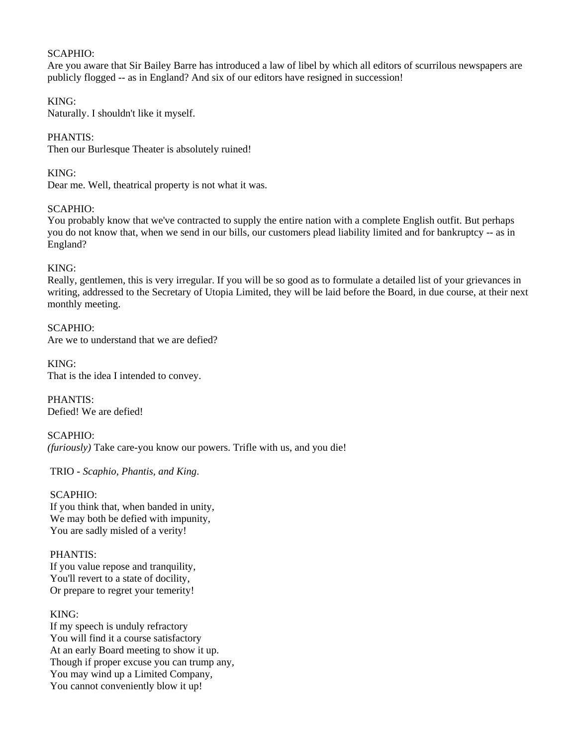## SCAPHIO:

Are you aware that Sir Bailey Barre has introduced a law of libel by which all editors of scurrilous newspapers are publicly flogged -- as in England? And six of our editors have resigned in succession!

# KING:

Naturally. I shouldn't like it myself.

# PHANTIS:

Then our Burlesque Theater is absolutely ruined!

KING:

Dear me. Well, theatrical property is not what it was.

# SCAPHIO:

You probably know that we've contracted to supply the entire nation with a complete English outfit. But perhaps you do not know that, when we send in our bills, our customers plead liability limited and for bankruptcy -- as in England?

# KING:

Really, gentlemen, this is very irregular. If you will be so good as to formulate a detailed list of your grievances in writing, addressed to the Secretary of Utopia Limited, they will be laid before the Board, in due course, at their next monthly meeting.

SCAPHIO: Are we to understand that we are defied?

KING: That is the idea I intended to convey.

PHANTIS: Defied! We are defied!

SCAPHIO: *(furiously)* Take care-you know our powers. Trifle with us, and you die!

TRIO - *Scaphio, Phantis, and King*.

### SCAPHIO: If you think that, when banded in unity, We may both be defied with impunity, You are sadly misled of a verity!

# PHANTIS:

 If you value repose and tranquility, You'll revert to a state of docility, Or prepare to regret your temerity!

# KING:

 If my speech is unduly refractory You will find it a course satisfactory At an early Board meeting to show it up. Though if proper excuse you can trump any, You may wind up a Limited Company, You cannot conveniently blow it up!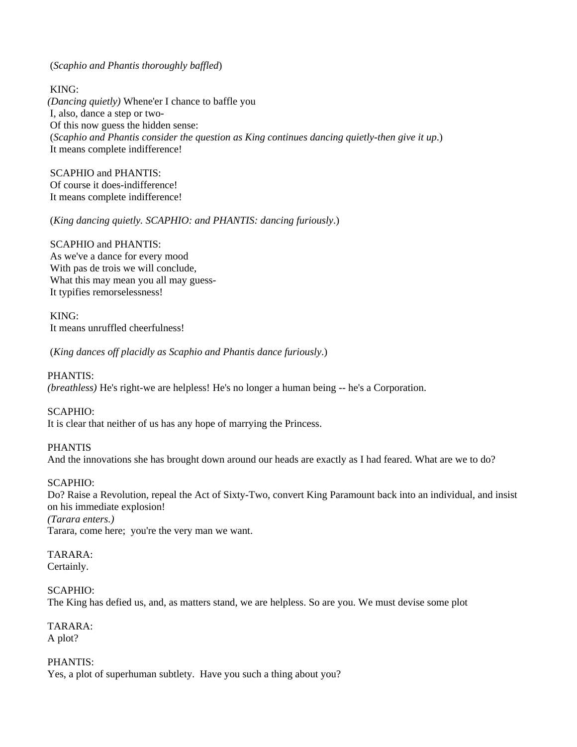(*Scaphio and Phantis thoroughly baffled*)

 KING: *(Dancing quietly)* Whene'er I chance to baffle you I, also, dance a step or two- Of this now guess the hidden sense: (*Scaphio and Phantis consider the question as King continues dancing quietly-then give it up*.) It means complete indifference!

 SCAPHIO and PHANTIS: Of course it does-indifference! It means complete indifference!

(*King dancing quietly. SCAPHIO: and PHANTIS: dancing furiously*.)

 SCAPHIO and PHANTIS: As we've a dance for every mood With pas de trois we will conclude, What this may mean you all may guess- It typifies remorselessness!

 KING: It means unruffled cheerfulness!

(*King dances off placidly as Scaphio and Phantis dance furiously*.)

PHANTIS:

*(breathless)* He's right-we are helpless! He's no longer a human being -- he's a Corporation.

SCAPHIO:

It is clear that neither of us has any hope of marrying the Princess.

PHANTIS

And the innovations she has brought down around our heads are exactly as I had feared. What are we to do?

# SCAPHIO:

Do? Raise a Revolution, repeal the Act of Sixty-Two, convert King Paramount back into an individual, and insist on his immediate explosion! *(Tarara enters.)*  Tarara, come here; you're the very man we want.

TARARA:

Certainly.

# SCAPHIO:

The King has defied us, and, as matters stand, we are helpless. So are you. We must devise some plot

TARARA: A plot?

PHANTIS: Yes, a plot of superhuman subtlety. Have you such a thing about you?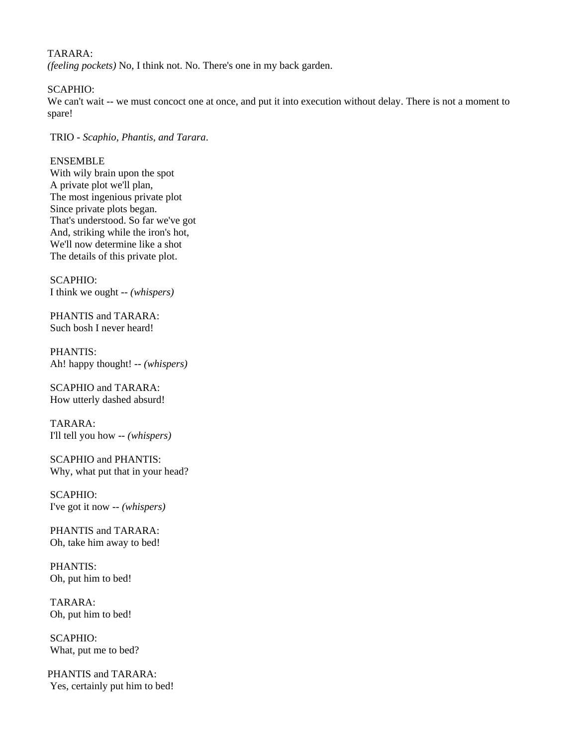# TARARA:

*(feeling pockets)* No, I think not. No. There's one in my back garden.

### SCAPHIO:

We can't wait -- we must concoct one at once, and put it into execution without delay. There is not a moment to spare!

TRIO - *Scaphio, Phantis, and Tarara*.

# ENSEMBLE

 With wily brain upon the spot A private plot we'll plan, The most ingenious private plot Since private plots began. That's understood. So far we've got And, striking while the iron's hot, We'll now determine like a shot The details of this private plot.

 SCAPHIO: I think we ought -- *(whispers)* 

 PHANTIS and TARARA: Such bosh I never heard!

 PHANTIS: Ah! happy thought! -- *(whispers)* 

 SCAPHIO and TARARA: How utterly dashed absurd!

 TARARA: I'll tell you how -- *(whispers)* 

 SCAPHIO and PHANTIS: Why, what put that in your head?

 SCAPHIO: I've got it now -- *(whispers)* 

 PHANTIS and TARARA: Oh, take him away to bed!

 PHANTIS: Oh, put him to bed!

 TARARA: Oh, put him to bed!

 SCAPHIO: What, put me to bed?

PHANTIS and TARARA: Yes, certainly put him to bed!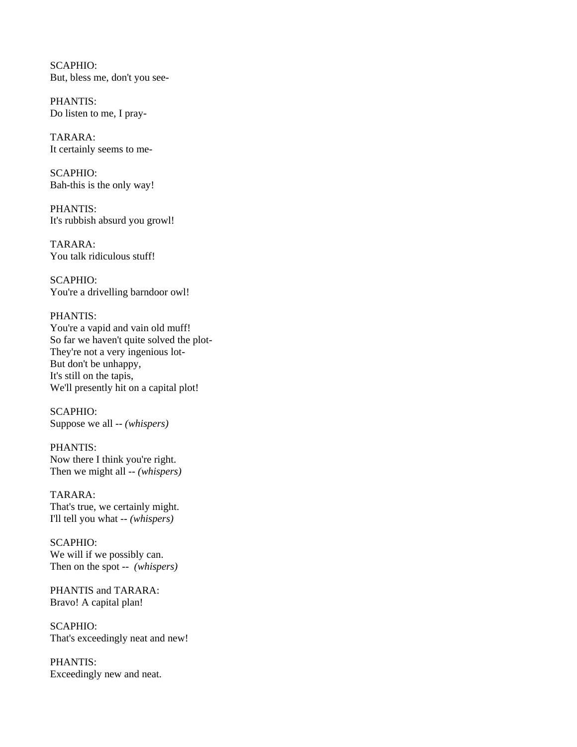SCAPHIO: But, bless me, don't you see-

 PHANTIS: Do listen to me, I pray-

 TARARA: It certainly seems to me-

 SCAPHIO: Bah-this is the only way!

 PHANTIS: It's rubbish absurd you growl!

 TARARA: You talk ridiculous stuff!

 SCAPHIO: You're a drivelling barndoor owl!

### PHANTIS:

 You're a vapid and vain old muff! So far we haven't quite solved the plot- They're not a very ingenious lot- But don't be unhappy, It's still on the tapis, We'll presently hit on a capital plot!

 SCAPHIO: Suppose we all -- *(whispers)* 

 PHANTIS: Now there I think you're right. Then we might all -- *(whispers)* 

 TARARA: That's true, we certainly might. I'll tell you what -- *(whispers)* 

 SCAPHIO: We will if we possibly can. Then on the spot -- *(whispers)* 

 PHANTIS and TARARA: Bravo! A capital plan!

 SCAPHIO: That's exceedingly neat and new!

 PHANTIS: Exceedingly new and neat.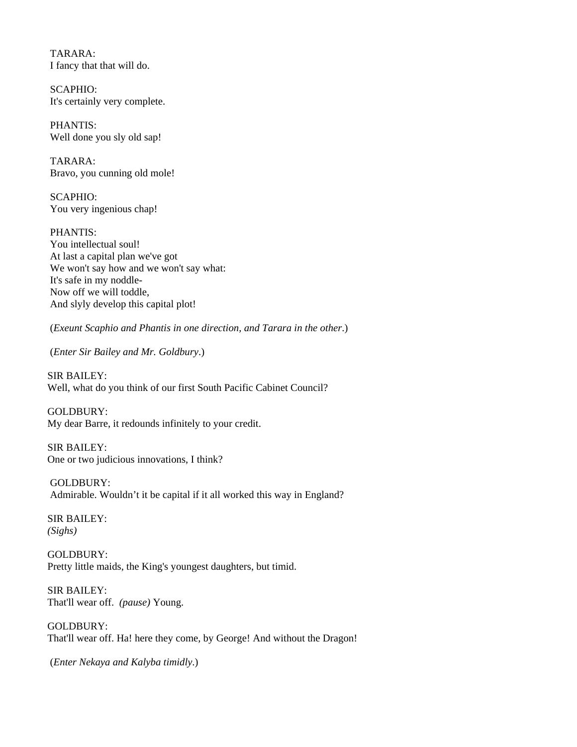TARARA: I fancy that that will do.

 SCAPHIO: It's certainly very complete.

 PHANTIS: Well done you sly old sap!

 TARARA: Bravo, you cunning old mole!

 SCAPHIO: You very ingenious chap!

 PHANTIS: You intellectual soul! At last a capital plan we've got We won't say how and we won't say what: It's safe in my noddle- Now off we will toddle, And slyly develop this capital plot!

(*Exeunt Scaphio and Phantis in one direction, and Tarara in the other*.)

(*Enter Sir Bailey and Mr. Goldbury*.)

SIR BAILEY: Well, what do you think of our first South Pacific Cabinet Council?

GOLDBURY: My dear Barre, it redounds infinitely to your credit.

SIR BAILEY: One or two judicious innovations, I think?

 GOLDBURY: Admirable. Wouldn't it be capital if it all worked this way in England?

SIR BAILEY: *(Sighs)* 

GOLDBURY: Pretty little maids, the King's youngest daughters, but timid.

SIR BAILEY: That'll wear off. *(pause)* Young.

GOLDBURY: That'll wear off. Ha! here they come, by George! And without the Dragon!

(*Enter Nekaya and Kalyba timidly*.)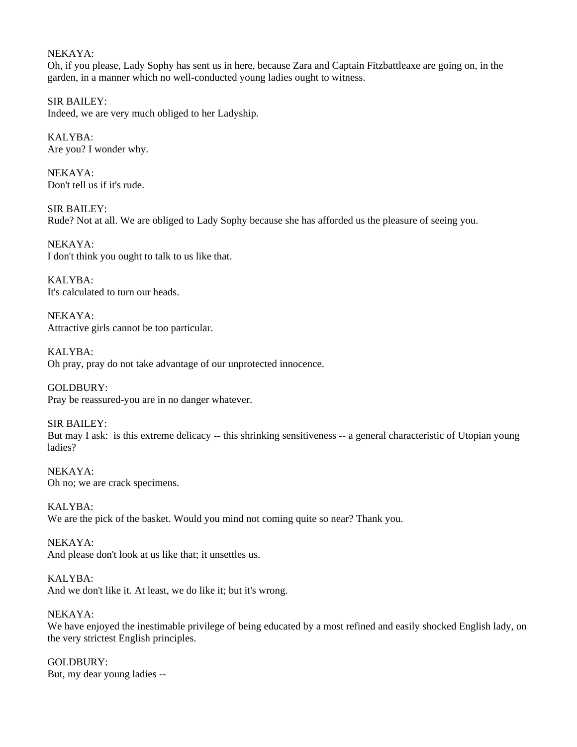## NEKAYA:

Oh, if you please, Lady Sophy has sent us in here, because Zara and Captain Fitzbattleaxe are going on, in the garden, in a manner which no well-conducted young ladies ought to witness.

SIR BAILEY: Indeed, we are very much obliged to her Ladyship.

KALYBA: Are you? I wonder why.

NEKAYA: Don't tell us if it's rude.

SIR BAILEY: Rude? Not at all. We are obliged to Lady Sophy because she has afforded us the pleasure of seeing you.

NEKAYA: I don't think you ought to talk to us like that.

KALYBA: It's calculated to turn our heads.

NEKAYA: Attractive girls cannot be too particular.

KALYBA: Oh pray, pray do not take advantage of our unprotected innocence.

GOLDBURY: Pray be reassured-you are in no danger whatever.

SIR BAILEY: But may I ask: is this extreme delicacy -- this shrinking sensitiveness -- a general characteristic of Utopian young ladies?

NEKAYA: Oh no; we are crack specimens.

KALYBA: We are the pick of the basket. Would you mind not coming quite so near? Thank you.

NEKAYA: And please don't look at us like that; it unsettles us.

KALYBA: And we don't like it. At least, we do like it; but it's wrong.

NEKAYA: We have enjoyed the inestimable privilege of being educated by a most refined and easily shocked English lady, on the very strictest English principles.

GOLDBURY: But, my dear young ladies --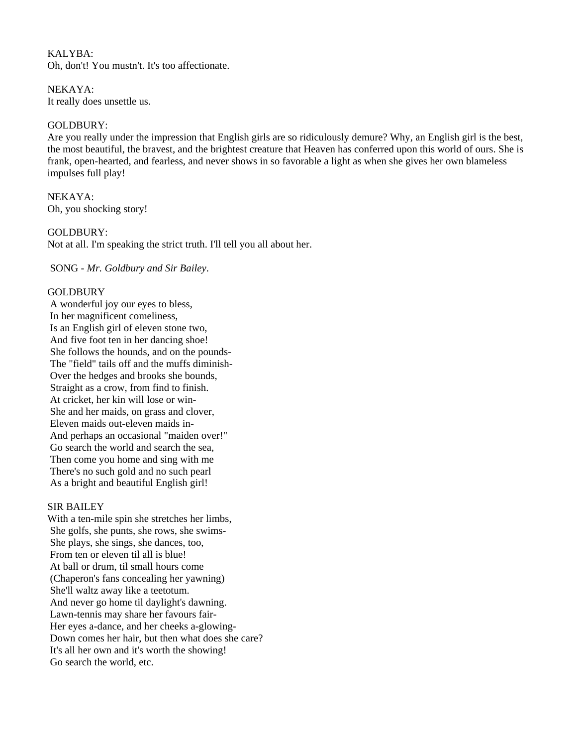KALYBA: Oh, don't! You mustn't. It's too affectionate.

NEKAYA: It really does unsettle us.

## GOLDBURY:

Are you really under the impression that English girls are so ridiculously demure? Why, an English girl is the best, the most beautiful, the bravest, and the brightest creature that Heaven has conferred upon this world of ours. She is frank, open-hearted, and fearless, and never shows in so favorable a light as when she gives her own blameless impulses full play!

NEKAYA: Oh, you shocking story!

### GOLDBURY:

Not at all. I'm speaking the strict truth. I'll tell you all about her.

SONG - *Mr. Goldbury and Sir Bailey*.

### **GOLDBURY**

 A wonderful joy our eyes to bless, In her magnificent comeliness, Is an English girl of eleven stone two, And five foot ten in her dancing shoe! She follows the hounds, and on the pounds- The "field" tails off and the muffs diminish- Over the hedges and brooks she bounds, Straight as a crow, from find to finish. At cricket, her kin will lose or win- She and her maids, on grass and clover, Eleven maids out-eleven maids in- And perhaps an occasional "maiden over!" Go search the world and search the sea, Then come you home and sing with me There's no such gold and no such pearl As a bright and beautiful English girl!

### SIR BAILEY

With a ten-mile spin she stretches her limbs, She golfs, she punts, she rows, she swims- She plays, she sings, she dances, too, From ten or eleven til all is blue! At ball or drum, til small hours come (Chaperon's fans concealing her yawning) She'll waltz away like a teetotum. And never go home til daylight's dawning. Lawn-tennis may share her favours fair- Her eyes a-dance, and her cheeks a-glowing- Down comes her hair, but then what does she care? It's all her own and it's worth the showing! Go search the world, etc.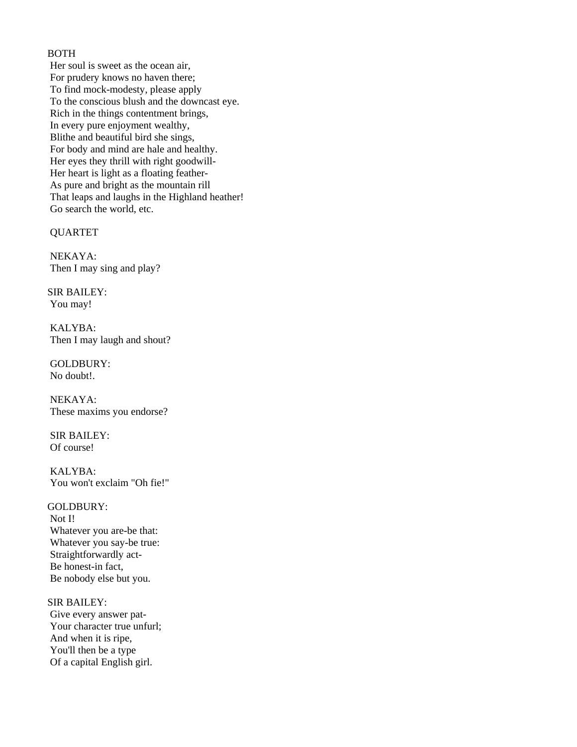# BOTH

 Her soul is sweet as the ocean air, For prudery knows no haven there; To find mock-modesty, please apply To the conscious blush and the downcast eye. Rich in the things contentment brings, In every pure enjoyment wealthy, Blithe and beautiful bird she sings, For body and mind are hale and healthy. Her eyes they thrill with right goodwill- Her heart is light as a floating feather- As pure and bright as the mountain rill That leaps and laughs in the Highland heather! Go search the world, etc.

QUARTET

 NEKAYA: Then I may sing and play?

SIR BAILEY: You may!

 KALYBA: Then I may laugh and shout?

 GOLDBURY: No doubt!.

 NEKAYA: These maxims you endorse?

 SIR BAILEY: Of course!

 KALYBA: You won't exclaim "Oh fie!"

### GOLDBURY:

 Not I! Whatever you are-be that: Whatever you say-be true: Straightforwardly act- Be honest-in fact, Be nobody else but you.

SIR BAILEY: Give every answer pat- Your character true unfurl; And when it is ripe, You'll then be a type Of a capital English girl.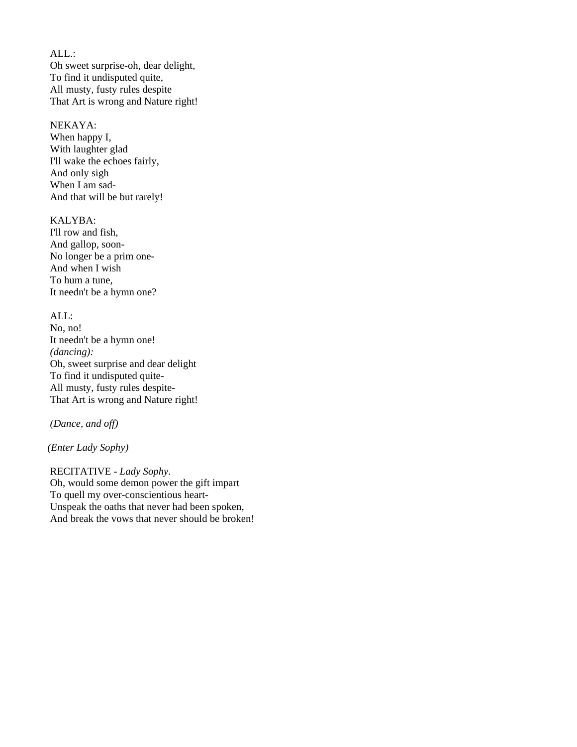ALL.: Oh sweet surprise-oh, dear delight, To find it undisputed quite, All musty, fusty rules despite That Art is wrong and Nature right!

# NEKAYA:

 When happy I, With laughter glad I'll wake the echoes fairly, And only sigh When I am sad- And that will be but rarely!

# KALYBA:

 I'll row and fish, And gallop, soon- No longer be a prim one- And when I wish To hum a tune, It needn't be a hymn one?

### ALL:

 No, no! It needn't be a hymn one!  *(dancing):*  Oh, sweet surprise and dear delight To find it undisputed quite- All musty, fusty rules despite- That Art is wrong and Nature right!

### *(Dance, and off)*

*(Enter Lady Sophy)* 

 RECITATIVE - *Lady Sophy*. Oh, would some demon power the gift impart To quell my over-conscientious heart- Unspeak the oaths that never had been spoken, And break the vows that never should be broken!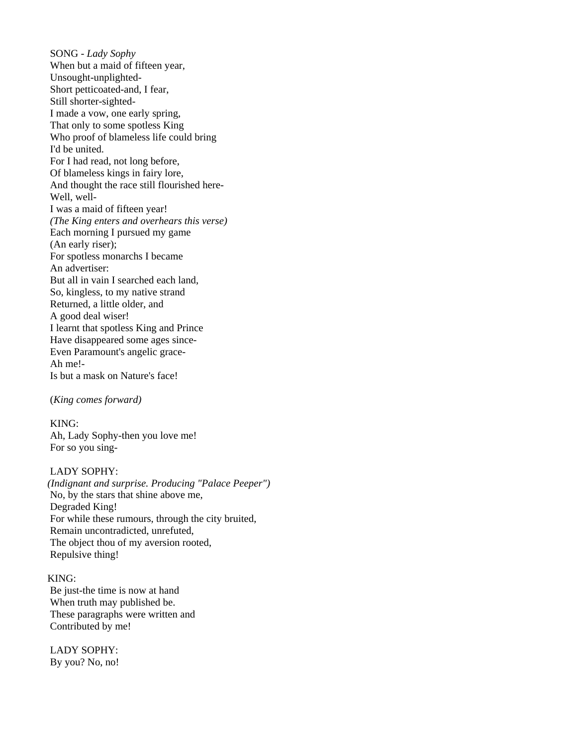SONG - *Lady Sophy*  When but a maid of fifteen year, Unsought-unplighted- Short petticoated-and, I fear, Still shorter-sighted- I made a vow, one early spring, That only to some spotless King Who proof of blameless life could bring I'd be united. For I had read, not long before, Of blameless kings in fairy lore, And thought the race still flourished here- Well, well- I was a maid of fifteen year! *(The King enters and overhears this verse)*  Each morning I pursued my game (An early riser); For spotless monarchs I became An advertiser: But all in vain I searched each land, So, kingless, to my native strand Returned, a little older, and A good deal wiser! I learnt that spotless King and Prince Have disappeared some ages since- Even Paramount's angelic grace- Ah me!- Is but a mask on Nature's face!

(*King comes forward)* 

 KING: Ah, Lady Sophy-then you love me! For so you sing-

 LADY SOPHY: *(Indignant and surprise. Producing "Palace Peeper")*  No, by the stars that shine above me, Degraded King! For while these rumours, through the city bruited, Remain uncontradicted, unrefuted, The object thou of my aversion rooted, Repulsive thing!

KING: Be just-the time is now at hand When truth may published be. These paragraphs were written and Contributed by me!

 LADY SOPHY: By you? No, no!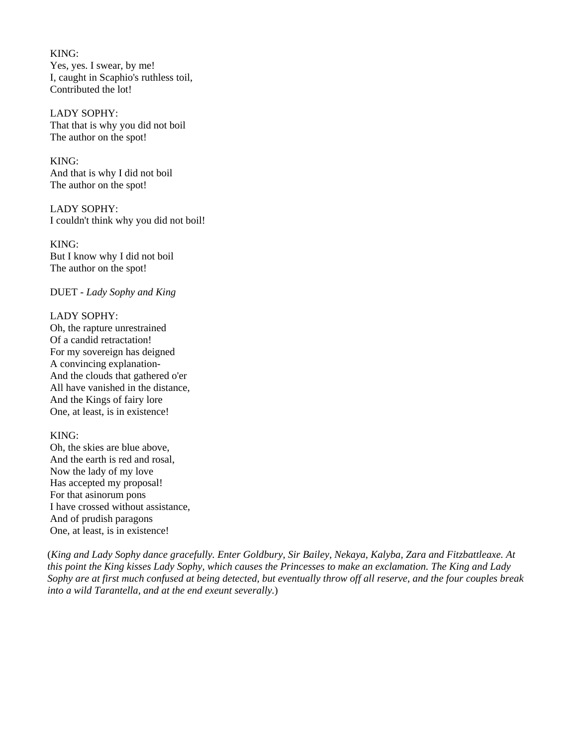KING: Yes, yes. I swear, by me! I, caught in Scaphio's ruthless toil, Contributed the lot!

 LADY SOPHY: That that is why you did not boil The author on the spot!

 KING: And that is why I did not boil The author on the spot!

 LADY SOPHY: I couldn't think why you did not boil!

 KING: But I know why I did not boil The author on the spot!

DUET - *Lady Sophy and King*

## LADY SOPHY:

 Oh, the rapture unrestrained Of a candid retractation! For my sovereign has deigned A convincing explanation- And the clouds that gathered o'er All have vanished in the distance, And the Kings of fairy lore One, at least, is in existence!

KING:

 Oh, the skies are blue above, And the earth is red and rosal, Now the lady of my love Has accepted my proposal! For that asinorum pons I have crossed without assistance, And of prudish paragons One, at least, is in existence!

(*King and Lady Sophy dance gracefully. Enter Goldbury, Sir Bailey, Nekaya, Kalyba, Zara and Fitzbattleaxe. At this point the King kisses Lady Sophy, which causes the Princesses to make an exclamation. The King and Lady Sophy are at first much confused at being detected, but eventually throw off all reserve, and the four couples break into a wild Tarantella, and at the end exeunt severally.*)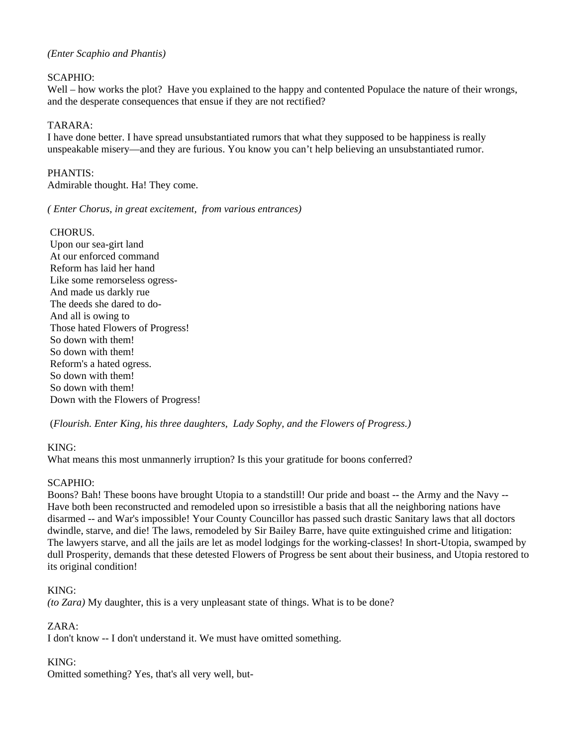### *(Enter Scaphio and Phantis)*

### SCAPHIO:

Well – how works the plot? Have you explained to the happy and contented Populace the nature of their wrongs, and the desperate consequences that ensue if they are not rectified?

### TARARA:

I have done better. I have spread unsubstantiated rumors that what they supposed to be happiness is really unspeakable misery—and they are furious. You know you can't help believing an unsubstantiated rumor.

## PHANTIS:

Admirable thought. Ha! They come.

*( Enter Chorus, in great excitement, from various entrances)* 

### CHORUS.

 Upon our sea-girt land At our enforced command Reform has laid her hand Like some remorseless ogress- And made us darkly rue The deeds she dared to do- And all is owing to Those hated Flowers of Progress! So down with them! So down with them! Reform's a hated ogress. So down with them! So down with them! Down with the Flowers of Progress!

(*Flourish. Enter King, his three daughters, Lady Sophy, and the Flowers of Progress.)*

## KING:

What means this most unmannerly irruption? Is this your gratitude for boons conferred?

## SCAPHIO:

Boons? Bah! These boons have brought Utopia to a standstill! Our pride and boast -- the Army and the Navy -- Have both been reconstructed and remodeled upon so irresistible a basis that all the neighboring nations have disarmed -- and War's impossible! Your County Councillor has passed such drastic Sanitary laws that all doctors dwindle, starve, and die! The laws, remodeled by Sir Bailey Barre, have quite extinguished crime and litigation: The lawyers starve, and all the jails are let as model lodgings for the working-classes! In short-Utopia, swamped by dull Prosperity, demands that these detested Flowers of Progress be sent about their business, and Utopia restored to its original condition!

KING:

*(to Zara)* My daughter, this is a very unpleasant state of things. What is to be done?

ZARA:

I don't know -- I don't understand it. We must have omitted something.

## KING:

Omitted something? Yes, that's all very well, but-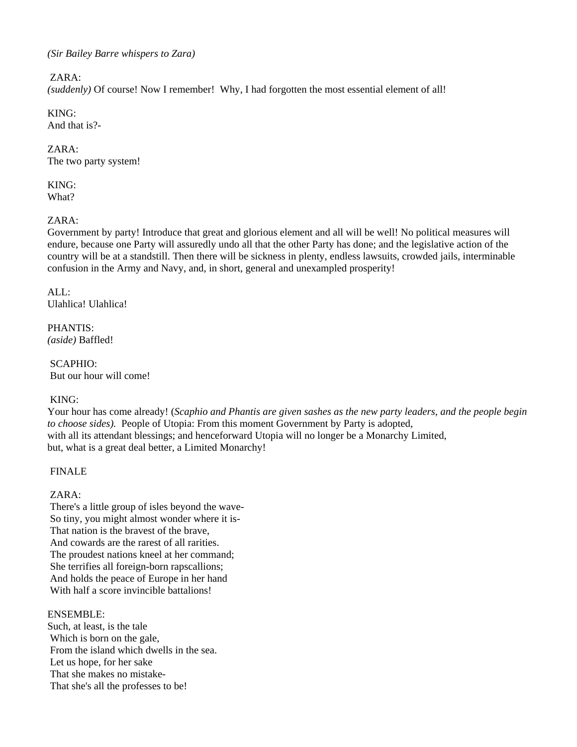## *(Sir Bailey Barre whispers to Zara)*

### ZARA:

*(suddenly)* Of course! Now I remember! Why, I had forgotten the most essential element of all!

# KING:

And that is?-

# ZARA:

The two party system!

#### KING: What?

# ZARA:

Government by party! Introduce that great and glorious element and all will be well! No political measures will endure, because one Party will assuredly undo all that the other Party has done; and the legislative action of the country will be at a standstill. Then there will be sickness in plenty, endless lawsuits, crowded jails, interminable confusion in the Army and Navy, and, in short, general and unexampled prosperity!

## $AI.$ : Ulahlica! Ulahlica!

PHANTIS: *(aside)* Baffled!

 SCAPHIO: But our hour will come!

# KING:

Your hour has come already! (*Scaphio and Phantis are given sashes as the new party leaders, and the people begin to choose sides).* People of Utopia: From this moment Government by Party is adopted, with all its attendant blessings; and henceforward Utopia will no longer be a Monarchy Limited, but, what is a great deal better, a Limited Monarchy!

# FINALE

# ZARA:

 There's a little group of isles beyond the wave- So tiny, you might almost wonder where it is- That nation is the bravest of the brave, And cowards are the rarest of all rarities. The proudest nations kneel at her command; She terrifies all foreign-born rapscallions; And holds the peace of Europe in her hand With half a score invincible battalions!

## ENSEMBLE:

Such, at least, is the tale Which is born on the gale, From the island which dwells in the sea. Let us hope, for her sake That she makes no mistake- That she's all the professes to be!